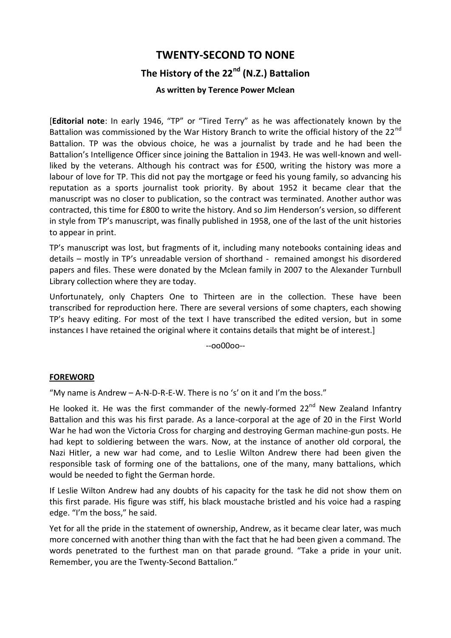# **TWENTY-SECOND TO NONE The History of the 22nd (N.Z.) Battalion**

# **As written by Terence Power Mclean**

[**Editorial note**: In early 1946, "TP" or "Tired Terry" as he was affectionately known by the Battalion was commissioned by the War History Branch to write the official history of the 22<sup>nd</sup> Battalion. TP was the obvious choice, he was a journalist by trade and he had been the Battalion's Intelligence Officer since joining the Battalion in 1943. He was well-known and wellliked by the veterans. Although his contract was for £500, writing the history was more a labour of love for TP. This did not pay the mortgage or feed his young family, so advancing his reputation as a sports journalist took priority. By about 1952 it became clear that the manuscript was no closer to publication, so the contract was terminated. Another author was contracted, this time for £800 to write the history. And so Jim Henderson's version, so different in style from TP's manuscript, was finally published in 1958, one of the last of the unit histories to appear in print.

TP's manuscript was lost, but fragments of it, including many notebooks containing ideas and details – mostly in TP's unreadable version of shorthand - remained amongst his disordered papers and files. These were donated by the Mclean family in 2007 to the Alexander Turnbull Library collection where they are today.

Unfortunately, only Chapters One to Thirteen are in the collection. These have been transcribed for reproduction here. There are several versions of some chapters, each showing TP's heavy editing. For most of the text I have transcribed the edited version, but in some instances I have retained the original where it contains details that might be of interest.]

--oo00oo--

#### **FOREWORD**

"My name is Andrew – A-N-D-R-E-W. There is no 's' on it and I'm the boss."

He looked it. He was the first commander of the newly-formed  $22^{nd}$  New Zealand Infantry Battalion and this was his first parade. As a lance-corporal at the age of 20 in the First World War he had won the Victoria Cross for charging and destroying German machine-gun posts. He had kept to soldiering between the wars. Now, at the instance of another old corporal, the Nazi Hitler, a new war had come, and to Leslie Wilton Andrew there had been given the responsible task of forming one of the battalions, one of the many, many battalions, which would be needed to fight the German horde.

If Leslie Wilton Andrew had any doubts of his capacity for the task he did not show them on this first parade. His figure was stiff, his black moustache bristled and his voice had a rasping edge. "I'm the boss," he said.

Yet for all the pride in the statement of ownership, Andrew, as it became clear later, was much more concerned with another thing than with the fact that he had been given a command. The words penetrated to the furthest man on that parade ground. "Take a pride in your unit. Remember, you are the Twenty-Second Battalion."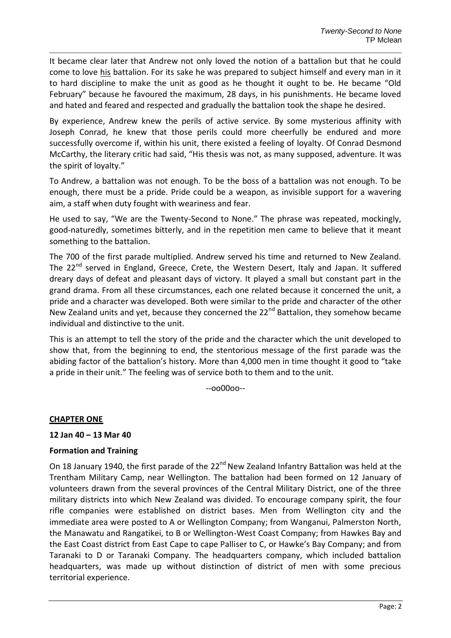It became clear later that Andrew not only loved the notion of a battalion but that he could come to love his battalion. For its sake he was prepared to subject himself and every man in it to hard discipline to make the unit as good as he thought it ought to be. He became "Old February" because he favoured the maximum, 28 days, in his punishments. He became loved and hated and feared and respected and gradually the battalion took the shape he desired.

By experience, Andrew knew the perils of active service. By some mysterious affinity with Joseph Conrad, he knew that those perils could more cheerfully be endured and more successfully overcome if, within his unit, there existed a feeling of loyalty. Of Conrad Desmond McCarthy, the literary critic had said, "His thesis was not, as many supposed, adventure. It was the spirit of loyalty."

To Andrew, a battalion was not enough. To be the boss of a battalion was not enough. To be enough, there must be a pride. Pride could be a weapon, as invisible support for a wavering aim, a staff when duty fought with weariness and fear.

He used to say, "We are the Twenty-Second to None." The phrase was repeated, mockingly, good-naturedly, sometimes bitterly, and in the repetition men came to believe that it meant something to the battalion.

The 700 of the first parade multiplied. Andrew served his time and returned to New Zealand. The 22<sup>nd</sup> served in England, Greece, Crete, the Western Desert, Italy and Japan. It suffered dreary days of defeat and pleasant days of victory. It played a small but constant part in the grand drama. From all these circumstances, each one related because it concerned the unit, a pride and a character was developed. Both were similar to the pride and character of the other New Zealand units and yet, because they concerned the 22<sup>nd</sup> Battalion, they somehow became individual and distinctive to the unit.

This is an attempt to tell the story of the pride and the character which the unit developed to show that, from the beginning to end, the stentorious message of the first parade was the abiding factor of the battalion's history. More than 4,000 men in time thought it good to "take a pride in their unit." The feeling was of service both to them and to the unit.

--oo00oo--

#### **CHAPTER ONE**

#### **12 Jan 40 – 13 Mar 40**

#### **Formation and Training**

On 18 January 1940, the first parade of the 22<sup>nd</sup> New Zealand Infantry Battalion was held at the Trentham Military Camp, near Wellington. The battalion had been formed on 12 January of volunteers drawn from the several provinces of the Central Military District, one of the three military districts into which New Zealand was divided. To encourage company spirit, the four rifle companies were established on district bases. Men from Wellington city and the immediate area were posted to A or Wellington Company; from Wanganui, Palmerston North, the Manawatu and Rangatikei, to B or Wellington-West Coast Company; from Hawkes Bay and the East Coast district from East Cape to cape Palliser to C, or Hawke's Bay Company; and from Taranaki to D or Taranaki Company. The headquarters company, which included battalion headquarters, was made up without distinction of district of men with some precious territorial experience.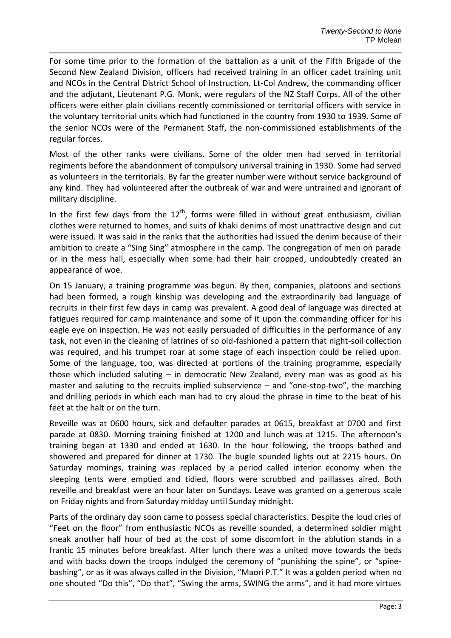For some time prior to the formation of the battalion as a unit of the Fifth Brigade of the Second New Zealand Division, officers had received training in an officer cadet training unit and NCOs in the Central District School of Instruction. Lt-Col Andrew, the commanding officer and the adjutant, Lieutenant P.G. Monk, were regulars of the NZ Staff Corps. All of the other officers were either plain civilians recently commissioned or territorial officers with service in the voluntary territorial units which had functioned in the country from 1930 to 1939. Some of the senior NCOs were of the Permanent Staff, the non-commissioned establishments of the regular forces.

Most of the other ranks were civilians. Some of the older men had served in territorial regiments before the abandonment of compulsory universal training in 1930. Some had served as volunteers in the territorials. By far the greater number were without service background of any kind. They had volunteered after the outbreak of war and were untrained and ignorant of military discipline.

In the first few days from the  $12<sup>th</sup>$ , forms were filled in without great enthusiasm, civilian clothes were returned to homes, and suits of khaki denims of most unattractive design and cut were issued. It was said in the ranks that the authorities had issued the denim because of their ambition to create a "Sing Sing" atmosphere in the camp. The congregation of men on parade or in the mess hall, especially when some had their hair cropped, undoubtedly created an appearance of woe.

On 15 January, a training programme was begun. By then, companies, platoons and sections had been formed, a rough kinship was developing and the extraordinarily bad language of recruits in their first few days in camp was prevalent. A good deal of language was directed at fatigues required for camp maintenance and some of it upon the commanding officer for his eagle eye on inspection. He was not easily persuaded of difficulties in the performance of any task, not even in the cleaning of latrines of so old-fashioned a pattern that night-soil collection was required, and his trumpet roar at some stage of each inspection could be relied upon. Some of the language, too, was directed at portions of the training programme, especially those which included saluting – in democratic New Zealand, every man was as good as his master and saluting to the recruits implied subservience – and "one-stop-two", the marching and drilling periods in which each man had to cry aloud the phrase in time to the beat of his feet at the halt or on the turn.

Reveille was at 0600 hours, sick and defaulter parades at 0615, breakfast at 0700 and first parade at 0830. Morning training finished at 1200 and lunch was at 1215. The afternoon's training began at 1330 and ended at 1630. In the hour following, the troops bathed and showered and prepared for dinner at 1730. The bugle sounded lights out at 2215 hours. On Saturday mornings, training was replaced by a period called interior economy when the sleeping tents were emptied and tidied, floors were scrubbed and paillasses aired. Both reveille and breakfast were an hour later on Sundays. Leave was granted on a generous scale on Friday nights and from Saturday midday until Sunday midnight.

Parts of the ordinary day soon came to possess special characteristics. Despite the loud cries of "Feet on the floor" from enthusiastic NCOs as reveille sounded, a determined soldier might sneak another half hour of bed at the cost of some discomfort in the ablution stands in a frantic 15 minutes before breakfast. After lunch there was a united move towards the beds and with backs down the troops indulged the ceremony of "punishing the spine", or "spinebashing", or as it was always called in the Division, "Maori P.T." It was a golden period when no one shouted "Do this", "Do that", "Swing the arms, SWING the arms", and it had more virtues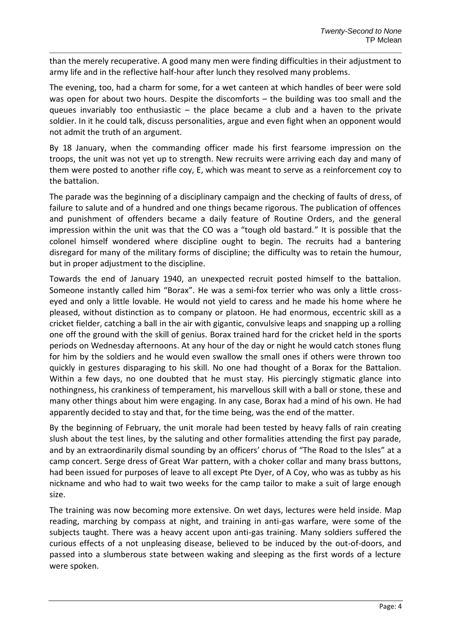than the merely recuperative. A good many men were finding difficulties in their adjustment to army life and in the reflective half-hour after lunch they resolved many problems.

The evening, too, had a charm for some, for a wet canteen at which handles of beer were sold was open for about two hours. Despite the discomforts – the building was too small and the queues invariably too enthusiastic – the place became a club and a haven to the private soldier. In it he could talk, discuss personalities, argue and even fight when an opponent would not admit the truth of an argument.

By 18 January, when the commanding officer made his first fearsome impression on the troops, the unit was not yet up to strength. New recruits were arriving each day and many of them were posted to another rifle coy, E, which was meant to serve as a reinforcement coy to the battalion.

The parade was the beginning of a disciplinary campaign and the checking of faults of dress, of failure to salute and of a hundred and one things became rigorous. The publication of offences and punishment of offenders became a daily feature of Routine Orders, and the general impression within the unit was that the CO was a "tough old bastard." It is possible that the colonel himself wondered where discipline ought to begin. The recruits had a bantering disregard for many of the military forms of discipline; the difficulty was to retain the humour, but in proper adjustment to the discipline.

Towards the end of January 1940, an unexpected recruit posted himself to the battalion. Someone instantly called him "Borax". He was a semi-fox terrier who was only a little crosseyed and only a little lovable. He would not yield to caress and he made his home where he pleased, without distinction as to company or platoon. He had enormous, eccentric skill as a cricket fielder, catching a ball in the air with gigantic, convulsive leaps and snapping up a rolling one off the ground with the skill of genius. Borax trained hard for the cricket held in the sports periods on Wednesday afternoons. At any hour of the day or night he would catch stones flung for him by the soldiers and he would even swallow the small ones if others were thrown too quickly in gestures disparaging to his skill. No one had thought of a Borax for the Battalion. Within a few days, no one doubted that he must stay. His piercingly stigmatic glance into nothingness, his crankiness of temperament, his marvellous skill with a ball or stone, these and many other things about him were engaging. In any case, Borax had a mind of his own. He had apparently decided to stay and that, for the time being, was the end of the matter.

By the beginning of February, the unit morale had been tested by heavy falls of rain creating slush about the test lines, by the saluting and other formalities attending the first pay parade, and by an extraordinarily dismal sounding by an officers' chorus of "The Road to the Isles" at a camp concert. Serge dress of Great War pattern, with a choker collar and many brass buttons, had been issued for purposes of leave to all except Pte Dyer, of A Coy, who was as tubby as his nickname and who had to wait two weeks for the camp tailor to make a suit of large enough size.

The training was now becoming more extensive. On wet days, lectures were held inside. Map reading, marching by compass at night, and training in anti-gas warfare, were some of the subjects taught. There was a heavy accent upon anti-gas training. Many soldiers suffered the curious effects of a not unpleasing disease, believed to be induced by the out-of-doors, and passed into a slumberous state between waking and sleeping as the first words of a lecture were spoken.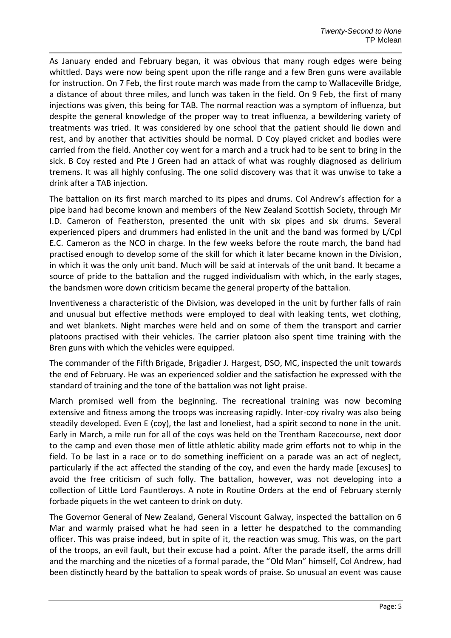As January ended and February began, it was obvious that many rough edges were being whittled. Days were now being spent upon the rifle range and a few Bren guns were available for instruction. On 7 Feb, the first route march was made from the camp to Wallaceville Bridge, a distance of about three miles, and lunch was taken in the field. On 9 Feb, the first of many injections was given, this being for TAB. The normal reaction was a symptom of influenza, but despite the general knowledge of the proper way to treat influenza, a bewildering variety of treatments was tried. It was considered by one school that the patient should lie down and rest, and by another that activities should be normal. D Coy played cricket and bodies were carried from the field. Another coy went for a march and a truck had to be sent to bring in the sick. B Coy rested and Pte J Green had an attack of what was roughly diagnosed as delirium tremens. It was all highly confusing. The one solid discovery was that it was unwise to take a drink after a TAB injection.

The battalion on its first march marched to its pipes and drums. Col Andrew's affection for a pipe band had become known and members of the New Zealand Scottish Society, through Mr I.D. Cameron of Featherston, presented the unit with six pipes and six drums. Several experienced pipers and drummers had enlisted in the unit and the band was formed by L/Cpl E.C. Cameron as the NCO in charge. In the few weeks before the route march, the band had practised enough to develop some of the skill for which it later became known in the Division, in which it was the only unit band. Much will be said at intervals of the unit band. It became a source of pride to the battalion and the rugged individualism with which, in the early stages, the bandsmen wore down criticism became the general property of the battalion.

Inventiveness a characteristic of the Division, was developed in the unit by further falls of rain and unusual but effective methods were employed to deal with leaking tents, wet clothing, and wet blankets. Night marches were held and on some of them the transport and carrier platoons practised with their vehicles. The carrier platoon also spent time training with the Bren guns with which the vehicles were equipped.

The commander of the Fifth Brigade, Brigadier J. Hargest, DSO, MC, inspected the unit towards the end of February. He was an experienced soldier and the satisfaction he expressed with the standard of training and the tone of the battalion was not light praise.

March promised well from the beginning. The recreational training was now becoming extensive and fitness among the troops was increasing rapidly. Inter-coy rivalry was also being steadily developed. Even E (coy), the last and loneliest, had a spirit second to none in the unit. Early in March, a mile run for all of the coys was held on the Trentham Racecourse, next door to the camp and even those men of little athletic ability made grim efforts not to whip in the field. To be last in a race or to do something inefficient on a parade was an act of neglect, particularly if the act affected the standing of the coy, and even the hardy made [excuses] to avoid the free criticism of such folly. The battalion, however, was not developing into a collection of Little Lord Fauntleroys. A note in Routine Orders at the end of February sternly forbade piquets in the wet canteen to drink on duty.

The Governor General of New Zealand, General Viscount Galway, inspected the battalion on 6 Mar and warmly praised what he had seen in a letter he despatched to the commanding officer. This was praise indeed, but in spite of it, the reaction was smug. This was, on the part of the troops, an evil fault, but their excuse had a point. After the parade itself, the arms drill and the marching and the niceties of a formal parade, the "Old Man" himself, Col Andrew, had been distinctly heard by the battalion to speak words of praise. So unusual an event was cause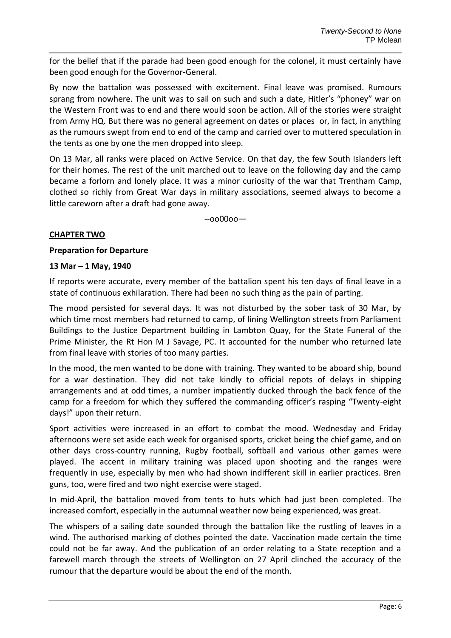for the belief that if the parade had been good enough for the colonel, it must certainly have been good enough for the Governor-General.

By now the battalion was possessed with excitement. Final leave was promised. Rumours sprang from nowhere. The unit was to sail on such and such a date, Hitler's "phoney" war on the Western Front was to end and there would soon be action. All of the stories were straight from Army HQ. But there was no general agreement on dates or places or, in fact, in anything as the rumours swept from end to end of the camp and carried over to muttered speculation in the tents as one by one the men dropped into sleep.

On 13 Mar, all ranks were placed on Active Service. On that day, the few South Islanders left for their homes. The rest of the unit marched out to leave on the following day and the camp became a forlorn and lonely place. It was a minor curiosity of the war that Trentham Camp, clothed so richly from Great War days in military associations, seemed always to become a little careworn after a draft had gone away.

--oo00oo—

# **CHAPTER TWO**

## **Preparation for Departure**

## **13 Mar – 1 May, 1940**

If reports were accurate, every member of the battalion spent his ten days of final leave in a state of continuous exhilaration. There had been no such thing as the pain of parting.

The mood persisted for several days. It was not disturbed by the sober task of 30 Mar, by which time most members had returned to camp, of lining Wellington streets from Parliament Buildings to the Justice Department building in Lambton Quay, for the State Funeral of the Prime Minister, the Rt Hon M J Savage, PC. It accounted for the number who returned late from final leave with stories of too many parties.

In the mood, the men wanted to be done with training. They wanted to be aboard ship, bound for a war destination. They did not take kindly to official repots of delays in shipping arrangements and at odd times, a number impatiently ducked through the back fence of the camp for a freedom for which they suffered the commanding officer's rasping "Twenty-eight days!" upon their return.

Sport activities were increased in an effort to combat the mood. Wednesday and Friday afternoons were set aside each week for organised sports, cricket being the chief game, and on other days cross-country running, Rugby football, softball and various other games were played. The accent in military training was placed upon shooting and the ranges were frequently in use, especially by men who had shown indifferent skill in earlier practices. Bren guns, too, were fired and two night exercise were staged.

In mid-April, the battalion moved from tents to huts which had just been completed. The increased comfort, especially in the autumnal weather now being experienced, was great.

The whispers of a sailing date sounded through the battalion like the rustling of leaves in a wind. The authorised marking of clothes pointed the date. Vaccination made certain the time could not be far away. And the publication of an order relating to a State reception and a farewell march through the streets of Wellington on 27 April clinched the accuracy of the rumour that the departure would be about the end of the month.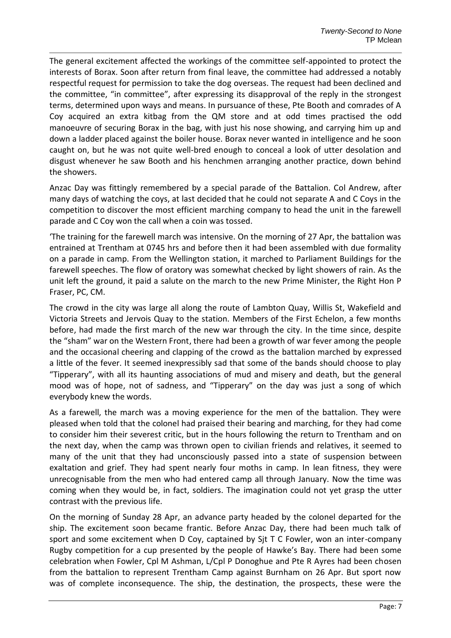The general excitement affected the workings of the committee self-appointed to protect the interests of Borax. Soon after return from final leave, the committee had addressed a notably respectful request for permission to take the dog overseas. The request had been declined and the committee, "in committee", after expressing its disapproval of the reply in the strongest terms, determined upon ways and means. In pursuance of these, Pte Booth and comrades of A Coy acquired an extra kitbag from the QM store and at odd times practised the odd manoeuvre of securing Borax in the bag, with just his nose showing, and carrying him up and down a ladder placed against the boiler house. Borax never wanted in intelligence and he soon caught on, but he was not quite well-bred enough to conceal a look of utter desolation and disgust whenever he saw Booth and his henchmen arranging another practice, down behind the showers.

Anzac Day was fittingly remembered by a special parade of the Battalion. Col Andrew, after many days of watching the coys, at last decided that he could not separate A and C Coys in the competition to discover the most efficient marching company to head the unit in the farewell parade and C Coy won the call when a coin was tossed.

'The training for the farewell march was intensive. On the morning of 27 Apr, the battalion was entrained at Trentham at 0745 hrs and before then it had been assembled with due formality on a parade in camp. From the Wellington station, it marched to Parliament Buildings for the farewell speeches. The flow of oratory was somewhat checked by light showers of rain. As the unit left the ground, it paid a salute on the march to the new Prime Minister, the Right Hon P Fraser, PC, CM.

The crowd in the city was large all along the route of Lambton Quay, Willis St, Wakefield and Victoria Streets and Jervois Quay to the station. Members of the First Echelon, a few months before, had made the first march of the new war through the city. In the time since, despite the "sham" war on the Western Front, there had been a growth of war fever among the people and the occasional cheering and clapping of the crowd as the battalion marched by expressed a little of the fever. It seemed inexpressibly sad that some of the bands should choose to play "Tipperary", with all its haunting associations of mud and misery and death, but the general mood was of hope, not of sadness, and "Tipperary" on the day was just a song of which everybody knew the words.

As a farewell, the march was a moving experience for the men of the battalion. They were pleased when told that the colonel had praised their bearing and marching, for they had come to consider him their severest critic, but in the hours following the return to Trentham and on the next day, when the camp was thrown open to civilian friends and relatives, it seemed to many of the unit that they had unconsciously passed into a state of suspension between exaltation and grief. They had spent nearly four moths in camp. In lean fitness, they were unrecognisable from the men who had entered camp all through January. Now the time was coming when they would be, in fact, soldiers. The imagination could not yet grasp the utter contrast with the previous life.

On the morning of Sunday 28 Apr, an advance party headed by the colonel departed for the ship. The excitement soon became frantic. Before Anzac Day, there had been much talk of sport and some excitement when D Coy, captained by Sjt T C Fowler, won an inter-company Rugby competition for a cup presented by the people of Hawke's Bay. There had been some celebration when Fowler, Cpl M Ashman, L/Cpl P Donoghue and Pte R Ayres had been chosen from the battalion to represent Trentham Camp against Burnham on 26 Apr. But sport now was of complete inconsequence. The ship, the destination, the prospects, these were the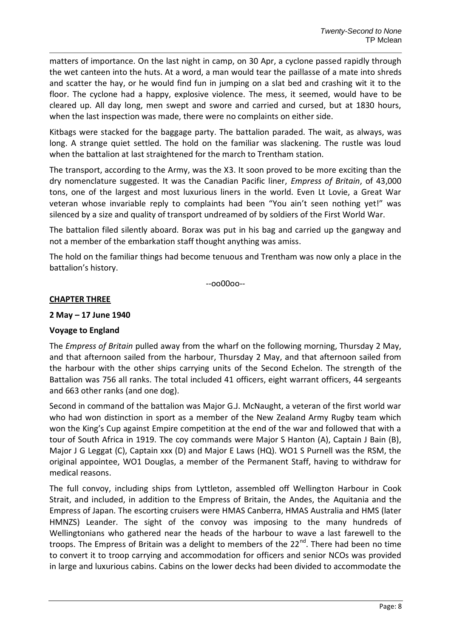matters of importance. On the last night in camp, on 30 Apr, a cyclone passed rapidly through the wet canteen into the huts. At a word, a man would tear the paillasse of a mate into shreds and scatter the hay, or he would find fun in jumping on a slat bed and crashing wit it to the floor. The cyclone had a happy, explosive violence. The mess, it seemed, would have to be cleared up. All day long, men swept and swore and carried and cursed, but at 1830 hours, when the last inspection was made, there were no complaints on either side.

Kitbags were stacked for the baggage party. The battalion paraded. The wait, as always, was long. A strange quiet settled. The hold on the familiar was slackening. The rustle was loud when the battalion at last straightened for the march to Trentham station.

The transport, according to the Army, was the X3. It soon proved to be more exciting than the dry nomenclature suggested. It was the Canadian Pacific liner, *Empress of Britain*, of 43,000 tons, one of the largest and most luxurious liners in the world. Even Lt Lovie, a Great War veteran whose invariable reply to complaints had been "You ain't seen nothing yet!" was silenced by a size and quality of transport undreamed of by soldiers of the First World War.

The battalion filed silently aboard. Borax was put in his bag and carried up the gangway and not a member of the embarkation staff thought anything was amiss.

The hold on the familiar things had become tenuous and Trentham was now only a place in the battalion's history.

--oo00oo--

## **CHAPTER THREE**

## **2 May – 17 June 1940**

# **Voyage to England**

The *Empress of Britain* pulled away from the wharf on the following morning, Thursday 2 May, and that afternoon sailed from the harbour, Thursday 2 May, and that afternoon sailed from the harbour with the other ships carrying units of the Second Echelon. The strength of the Battalion was 756 all ranks. The total included 41 officers, eight warrant officers, 44 sergeants and 663 other ranks (and one dog).

Second in command of the battalion was Major G.J. McNaught, a veteran of the first world war who had won distinction in sport as a member of the New Zealand Army Rugby team which won the King's Cup against Empire competition at the end of the war and followed that with a tour of South Africa in 1919. The coy commands were Major S Hanton (A), Captain J Bain (B), Major J G Leggat (C), Captain xxx (D) and Major E Laws (HQ). WO1 S Purnell was the RSM, the original appointee, WO1 Douglas, a member of the Permanent Staff, having to withdraw for medical reasons.

The full convoy, including ships from Lyttleton, assembled off Wellington Harbour in Cook Strait, and included, in addition to the Empress of Britain, the Andes, the Aquitania and the Empress of Japan. The escorting cruisers were HMAS Canberra, HMAS Australia and HMS (later HMNZS) Leander. The sight of the convoy was imposing to the many hundreds of Wellingtonians who gathered near the heads of the harbour to wave a last farewell to the troops. The Empress of Britain was a delight to members of the 22<sup>nd</sup>. There had been no time to convert it to troop carrying and accommodation for officers and senior NCOs was provided in large and luxurious cabins. Cabins on the lower decks had been divided to accommodate the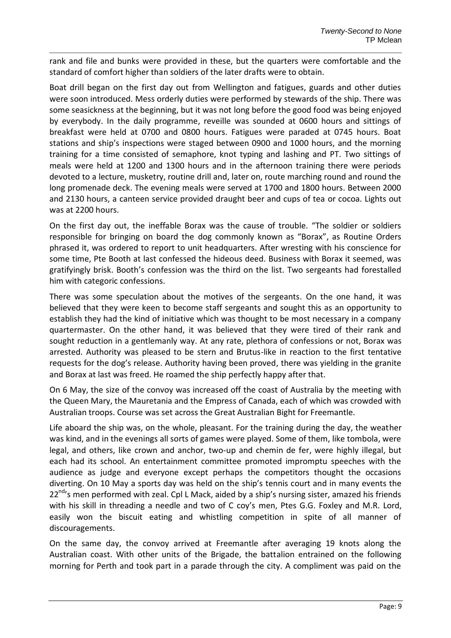rank and file and bunks were provided in these, but the quarters were comfortable and the standard of comfort higher than soldiers of the later drafts were to obtain.

Boat drill began on the first day out from Wellington and fatigues, guards and other duties were soon introduced. Mess orderly duties were performed by stewards of the ship. There was some seasickness at the beginning, but it was not long before the good food was being enjoyed by everybody. In the daily programme, reveille was sounded at 0600 hours and sittings of breakfast were held at 0700 and 0800 hours. Fatigues were paraded at 0745 hours. Boat stations and ship's inspections were staged between 0900 and 1000 hours, and the morning training for a time consisted of semaphore, knot typing and lashing and PT. Two sittings of meals were held at 1200 and 1300 hours and in the afternoon training there were periods devoted to a lecture, musketry, routine drill and, later on, route marching round and round the long promenade deck. The evening meals were served at 1700 and 1800 hours. Between 2000 and 2130 hours, a canteen service provided draught beer and cups of tea or cocoa. Lights out was at 2200 hours.

On the first day out, the ineffable Borax was the cause of trouble. "The soldier or soldiers responsible for bringing on board the dog commonly known as "Borax", as Routine Orders phrased it, was ordered to report to unit headquarters. After wresting with his conscience for some time, Pte Booth at last confessed the hideous deed. Business with Borax it seemed, was gratifyingly brisk. Booth's confession was the third on the list. Two sergeants had forestalled him with categoric confessions.

There was some speculation about the motives of the sergeants. On the one hand, it was believed that they were keen to become staff sergeants and sought this as an opportunity to establish they had the kind of initiative which was thought to be most necessary in a company quartermaster. On the other hand, it was believed that they were tired of their rank and sought reduction in a gentlemanly way. At any rate, plethora of confessions or not, Borax was arrested. Authority was pleased to be stern and Brutus-like in reaction to the first tentative requests for the dog's release. Authority having been proved, there was yielding in the granite and Borax at last was freed. He roamed the ship perfectly happy after that.

On 6 May, the size of the convoy was increased off the coast of Australia by the meeting with the Queen Mary, the Mauretania and the Empress of Canada, each of which was crowded with Australian troops. Course was set across the Great Australian Bight for Freemantle.

Life aboard the ship was, on the whole, pleasant. For the training during the day, the weather was kind, and in the evenings all sorts of games were played. Some of them, like tombola, were legal, and others, like crown and anchor, two-up and chemin de fer, were highly illegal, but each had its school. An entertainment committee promoted impromptu speeches with the audience as judge and everyone except perhaps the competitors thought the occasions diverting. On 10 May a sports day was held on the ship's tennis court and in many events the  $22^{nd}$ 's men performed with zeal. Cpl L Mack, aided by a ship's nursing sister, amazed his friends with his skill in threading a needle and two of C coy's men, Ptes G.G. Foxley and M.R. Lord, easily won the biscuit eating and whistling competition in spite of all manner of discouragements.

On the same day, the convoy arrived at Freemantle after averaging 19 knots along the Australian coast. With other units of the Brigade, the battalion entrained on the following morning for Perth and took part in a parade through the city. A compliment was paid on the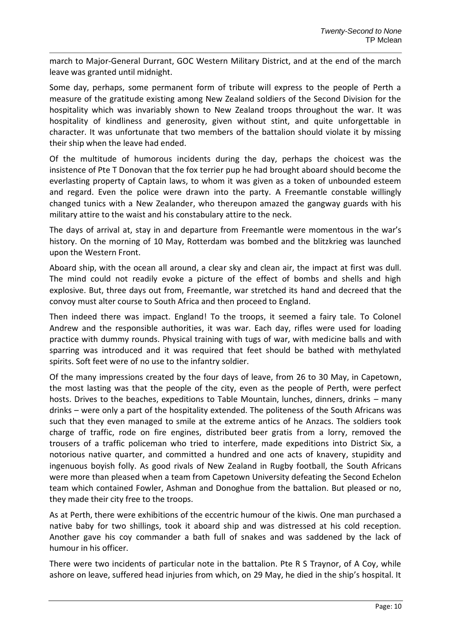march to Major-General Durrant, GOC Western Military District, and at the end of the march leave was granted until midnight.

Some day, perhaps, some permanent form of tribute will express to the people of Perth a measure of the gratitude existing among New Zealand soldiers of the Second Division for the hospitality which was invariably shown to New Zealand troops throughout the war. It was hospitality of kindliness and generosity, given without stint, and quite unforgettable in character. It was unfortunate that two members of the battalion should violate it by missing their ship when the leave had ended.

Of the multitude of humorous incidents during the day, perhaps the choicest was the insistence of Pte T Donovan that the fox terrier pup he had brought aboard should become the everlasting property of Captain laws, to whom it was given as a token of unbounded esteem and regard. Even the police were drawn into the party. A Freemantle constable willingly changed tunics with a New Zealander, who thereupon amazed the gangway guards with his military attire to the waist and his constabulary attire to the neck.

The days of arrival at, stay in and departure from Freemantle were momentous in the war's history. On the morning of 10 May, Rotterdam was bombed and the blitzkrieg was launched upon the Western Front.

Aboard ship, with the ocean all around, a clear sky and clean air, the impact at first was dull. The mind could not readily evoke a picture of the effect of bombs and shells and high explosive. But, three days out from, Freemantle, war stretched its hand and decreed that the convoy must alter course to South Africa and then proceed to England.

Then indeed there was impact. England! To the troops, it seemed a fairy tale. To Colonel Andrew and the responsible authorities, it was war. Each day, rifles were used for loading practice with dummy rounds. Physical training with tugs of war, with medicine balls and with sparring was introduced and it was required that feet should be bathed with methylated spirits. Soft feet were of no use to the infantry soldier.

Of the many impressions created by the four days of leave, from 26 to 30 May, in Capetown, the most lasting was that the people of the city, even as the people of Perth, were perfect hosts. Drives to the beaches, expeditions to Table Mountain, lunches, dinners, drinks – many drinks – were only a part of the hospitality extended. The politeness of the South Africans was such that they even managed to smile at the extreme antics of he Anzacs. The soldiers took charge of traffic, rode on fire engines, distributed beer gratis from a lorry, removed the trousers of a traffic policeman who tried to interfere, made expeditions into District Six, a notorious native quarter, and committed a hundred and one acts of knavery, stupidity and ingenuous boyish folly. As good rivals of New Zealand in Rugby football, the South Africans were more than pleased when a team from Capetown University defeating the Second Echelon team which contained Fowler, Ashman and Donoghue from the battalion. But pleased or no, they made their city free to the troops.

As at Perth, there were exhibitions of the eccentric humour of the kiwis. One man purchased a native baby for two shillings, took it aboard ship and was distressed at his cold reception. Another gave his coy commander a bath full of snakes and was saddened by the lack of humour in his officer.

There were two incidents of particular note in the battalion. Pte R S Traynor, of A Coy, while ashore on leave, suffered head injuries from which, on 29 May, he died in the ship's hospital. It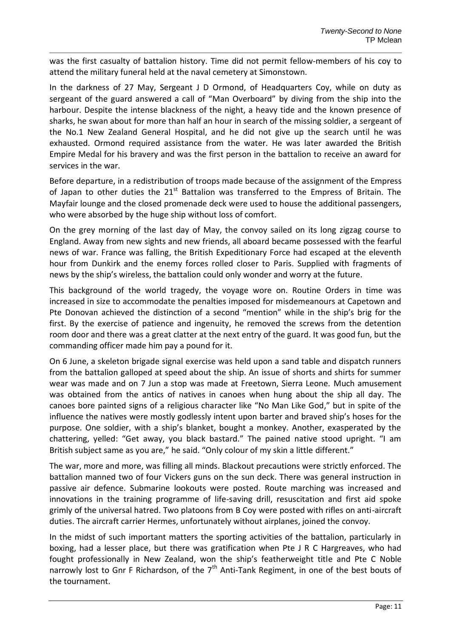was the first casualty of battalion history. Time did not permit fellow-members of his coy to attend the military funeral held at the naval cemetery at Simonstown.

In the darkness of 27 May, Sergeant J D Ormond, of Headquarters Coy, while on duty as sergeant of the guard answered a call of "Man Overboard" by diving from the ship into the harbour. Despite the intense blackness of the night, a heavy tide and the known presence of sharks, he swan about for more than half an hour in search of the missing soldier, a sergeant of the No.1 New Zealand General Hospital, and he did not give up the search until he was exhausted. Ormond required assistance from the water. He was later awarded the British Empire Medal for his bravery and was the first person in the battalion to receive an award for services in the war.

Before departure, in a redistribution of troops made because of the assignment of the Empress of Japan to other duties the  $21^{st}$  Battalion was transferred to the Empress of Britain. The Mayfair lounge and the closed promenade deck were used to house the additional passengers, who were absorbed by the huge ship without loss of comfort.

On the grey morning of the last day of May, the convoy sailed on its long zigzag course to England. Away from new sights and new friends, all aboard became possessed with the fearful news of war. France was falling, the British Expeditionary Force had escaped at the eleventh hour from Dunkirk and the enemy forces rolled closer to Paris. Supplied with fragments of news by the ship's wireless, the battalion could only wonder and worry at the future.

This background of the world tragedy, the voyage wore on. Routine Orders in time was increased in size to accommodate the penalties imposed for misdemeanours at Capetown and Pte Donovan achieved the distinction of a second "mention" while in the ship's brig for the first. By the exercise of patience and ingenuity, he removed the screws from the detention room door and there was a great clatter at the next entry of the guard. It was good fun, but the commanding officer made him pay a pound for it.

On 6 June, a skeleton brigade signal exercise was held upon a sand table and dispatch runners from the battalion galloped at speed about the ship. An issue of shorts and shirts for summer wear was made and on 7 Jun a stop was made at Freetown, Sierra Leone. Much amusement was obtained from the antics of natives in canoes when hung about the ship all day. The canoes bore painted signs of a religious character like "No Man Like God," but in spite of the influence the natives were mostly godlessly intent upon barter and braved ship's hoses for the purpose. One soldier, with a ship's blanket, bought a monkey. Another, exasperated by the chattering, yelled: "Get away, you black bastard." The pained native stood upright. "I am British subject same as you are," he said. "Only colour of my skin a little different."

The war, more and more, was filling all minds. Blackout precautions were strictly enforced. The battalion manned two of four Vickers guns on the sun deck. There was general instruction in passive air defence. Submarine lookouts were posted. Route marching was increased and innovations in the training programme of life-saving drill, resuscitation and first aid spoke grimly of the universal hatred. Two platoons from B Coy were posted with rifles on anti-aircraft duties. The aircraft carrier Hermes, unfortunately without airplanes, joined the convoy.

In the midst of such important matters the sporting activities of the battalion, particularly in boxing, had a lesser place, but there was gratification when Pte J R C Hargreaves, who had fought professionally in New Zealand, won the ship's featherweight title and Pte C Noble narrowly lost to Gnr F Richardson, of the  $7<sup>th</sup>$  Anti-Tank Regiment, in one of the best bouts of the tournament.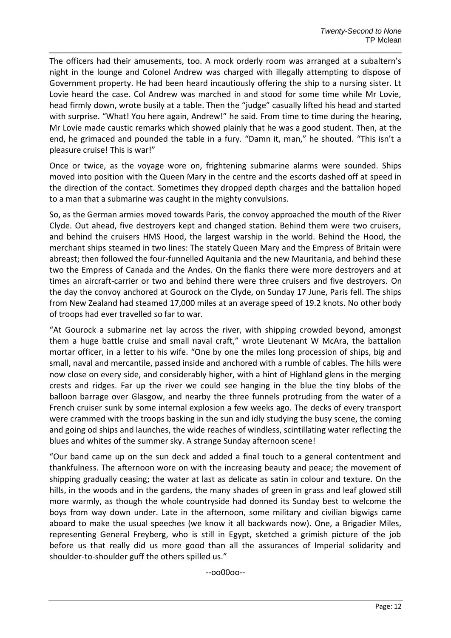The officers had their amusements, too. A mock orderly room was arranged at a subaltern's night in the lounge and Colonel Andrew was charged with illegally attempting to dispose of Government property. He had been heard incautiously offering the ship to a nursing sister. Lt Lovie heard the case. Col Andrew was marched in and stood for some time while Mr Lovie, head firmly down, wrote busily at a table. Then the "judge" casually lifted his head and started with surprise. "What! You here again, Andrew!" he said. From time to time during the hearing, Mr Lovie made caustic remarks which showed plainly that he was a good student. Then, at the end, he grimaced and pounded the table in a fury. "Damn it, man," he shouted. "This isn't a pleasure cruise! This is war!"

Once or twice, as the voyage wore on, frightening submarine alarms were sounded. Ships moved into position with the Queen Mary in the centre and the escorts dashed off at speed in the direction of the contact. Sometimes they dropped depth charges and the battalion hoped to a man that a submarine was caught in the mighty convulsions.

So, as the German armies moved towards Paris, the convoy approached the mouth of the River Clyde. Out ahead, five destroyers kept and changed station. Behind them were two cruisers, and behind the cruisers HMS Hood, the largest warship in the world. Behind the Hood, the merchant ships steamed in two lines: The stately Queen Mary and the Empress of Britain were abreast; then followed the four-funnelled Aquitania and the new Mauritania, and behind these two the Empress of Canada and the Andes. On the flanks there were more destroyers and at times an aircraft-carrier or two and behind there were three cruisers and five destroyers. On the day the convoy anchored at Gourock on the Clyde, on Sunday 17 June, Paris fell. The ships from New Zealand had steamed 17,000 miles at an average speed of 19.2 knots. No other body of troops had ever travelled so far to war.

"At Gourock a submarine net lay across the river, with shipping crowded beyond, amongst them a huge battle cruise and small naval craft," wrote Lieutenant W McAra, the battalion mortar officer, in a letter to his wife. "One by one the miles long procession of ships, big and small, naval and mercantile, passed inside and anchored with a rumble of cables. The hills were now close on every side, and considerably higher, with a hint of Highland glens in the merging crests and ridges. Far up the river we could see hanging in the blue the tiny blobs of the balloon barrage over Glasgow, and nearby the three funnels protruding from the water of a French cruiser sunk by some internal explosion a few weeks ago. The decks of every transport were crammed with the troops basking in the sun and idly studying the busy scene, the coming and going od ships and launches, the wide reaches of windless, scintillating water reflecting the blues and whites of the summer sky. A strange Sunday afternoon scene!

"Our band came up on the sun deck and added a final touch to a general contentment and thankfulness. The afternoon wore on with the increasing beauty and peace; the movement of shipping gradually ceasing; the water at last as delicate as satin in colour and texture. On the hills, in the woods and in the gardens, the many shades of green in grass and leaf glowed still more warmly, as though the whole countryside had donned its Sunday best to welcome the boys from way down under. Late in the afternoon, some military and civilian bigwigs came aboard to make the usual speeches (we know it all backwards now). One, a Brigadier Miles, representing General Freyberg, who is still in Egypt, sketched a grimish picture of the job before us that really did us more good than all the assurances of Imperial solidarity and shoulder-to-shoulder guff the others spilled us."

--oo00oo--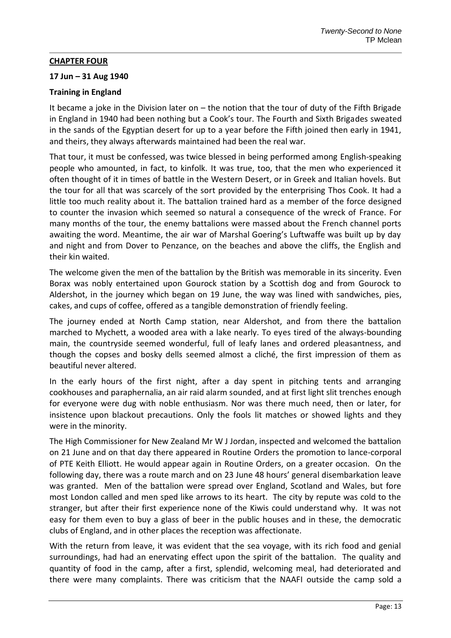## **CHAPTER FOUR**

## **17 Jun – 31 Aug 1940**

# **Training in England**

It became a joke in the Division later on – the notion that the tour of duty of the Fifth Brigade in England in 1940 had been nothing but a Cook's tour. The Fourth and Sixth Brigades sweated in the sands of the Egyptian desert for up to a year before the Fifth joined then early in 1941, and theirs, they always afterwards maintained had been the real war.

That tour, it must be confessed, was twice blessed in being performed among English-speaking people who amounted, in fact, to kinfolk. It was true, too, that the men who experienced it often thought of it in times of battle in the Western Desert, or in Greek and Italian hovels. But the tour for all that was scarcely of the sort provided by the enterprising Thos Cook. It had a little too much reality about it. The battalion trained hard as a member of the force designed to counter the invasion which seemed so natural a consequence of the wreck of France. For many months of the tour, the enemy battalions were massed about the French channel ports awaiting the word. Meantime, the air war of Marshal Goering's Luftwaffe was built up by day and night and from Dover to Penzance, on the beaches and above the cliffs, the English and their kin waited.

The welcome given the men of the battalion by the British was memorable in its sincerity. Even Borax was nobly entertained upon Gourock station by a Scottish dog and from Gourock to Aldershot, in the journey which began on 19 June, the way was lined with sandwiches, pies, cakes, and cups of coffee, offered as a tangible demonstration of friendly feeling.

The journey ended at North Camp station, near Aldershot, and from there the battalion marched to Mychett, a wooded area with a lake nearly. To eyes tired of the always-bounding main, the countryside seemed wonderful, full of leafy lanes and ordered pleasantness, and though the copses and bosky dells seemed almost a cliché, the first impression of them as beautiful never altered.

In the early hours of the first night, after a day spent in pitching tents and arranging cookhouses and paraphernalia, an air raid alarm sounded, and at first light slit trenches enough for everyone were dug with noble enthusiasm. Nor was there much need, then or later, for insistence upon blackout precautions. Only the fools lit matches or showed lights and they were in the minority.

The High Commissioner for New Zealand Mr W J Jordan, inspected and welcomed the battalion on 21 June and on that day there appeared in Routine Orders the promotion to lance-corporal of PTE Keith Elliott. He would appear again in Routine Orders, on a greater occasion. On the following day, there was a route march and on 23 June 48 hours' general disembarkation leave was granted. Men of the battalion were spread over England, Scotland and Wales, but fore most London called and men sped like arrows to its heart. The city by repute was cold to the stranger, but after their first experience none of the Kiwis could understand why. It was not easy for them even to buy a glass of beer in the public houses and in these, the democratic clubs of England, and in other places the reception was affectionate.

With the return from leave, it was evident that the sea voyage, with its rich food and genial surroundings, had had an enervating effect upon the spirit of the battalion. The quality and quantity of food in the camp, after a first, splendid, welcoming meal, had deteriorated and there were many complaints. There was criticism that the NAAFI outside the camp sold a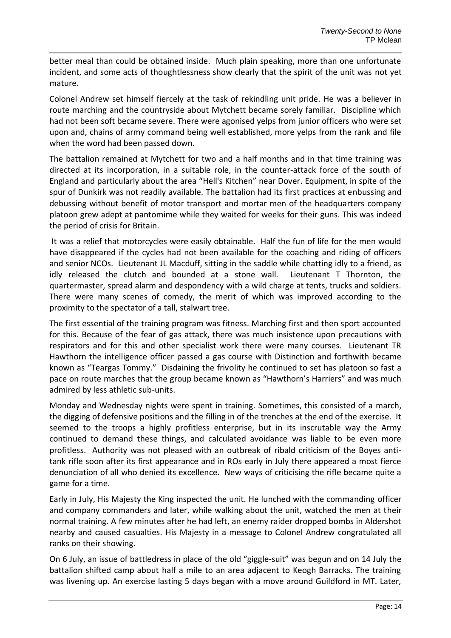better meal than could be obtained inside. Much plain speaking, more than one unfortunate incident, and some acts of thoughtlessness show clearly that the spirit of the unit was not yet mature.

Colonel Andrew set himself fiercely at the task of rekindling unit pride. He was a believer in route marching and the countryside about Mytchett became sorely familiar. Discipline which had not been soft became severe. There were agonised yelps from junior officers who were set upon and, chains of army command being well established, more yelps from the rank and file when the word had been passed down.

The battalion remained at Mytchett for two and a half months and in that time training was directed at its incorporation, in a suitable role, in the counter-attack force of the south of England and particularly about the area "Hell's Kitchen" near Dover. Equipment, in spite of the spur of Dunkirk was not readily available. The battalion had its first practices at enbussing and debussing without benefit of motor transport and mortar men of the headquarters company platoon grew adept at pantomime while they waited for weeks for their guns. This was indeed the period of crisis for Britain.

It was a relief that motorcycles were easily obtainable. Half the fun of life for the men would have disappeared if the cycles had not been available for the coaching and riding of officers and senior NCOs. Lieutenant JL Macduff, sitting in the saddle while chatting idly to a friend, as idly released the clutch and bounded at a stone wall. Lieutenant T Thornton, the quartermaster, spread alarm and despondency with a wild charge at tents, trucks and soldiers. There were many scenes of comedy, the merit of which was improved according to the proximity to the spectator of a tall, stalwart tree.

The first essential of the training program was fitness. Marching first and then sport accounted for this. Because of the fear of gas attack, there was much insistence upon precautions with respirators and for this and other specialist work there were many courses. Lieutenant TR Hawthorn the intelligence officer passed a gas course with Distinction and forthwith became known as "Teargas Tommy." Disdaining the frivolity he continued to set has platoon so fast a pace on route marches that the group became known as "Hawthorn's Harriers" and was much admired by less athletic sub-units.

Monday and Wednesday nights were spent in training. Sometimes, this consisted of a march, the digging of defensive positions and the filling in of the trenches at the end of the exercise. It seemed to the troops a highly profitless enterprise, but in its inscrutable way the Army continued to demand these things, and calculated avoidance was liable to be even more profitless. Authority was not pleased with an outbreak of ribald criticism of the Boyes antitank rifle soon after its first appearance and in ROs early in July there appeared a most fierce denunciation of all who denied its excellence. New ways of criticising the rifle became quite a game for a time.

Early in July, His Majesty the King inspected the unit. He lunched with the commanding officer and company commanders and later, while walking about the unit, watched the men at their normal training. A few minutes after he had left, an enemy raider dropped bombs in Aldershot nearby and caused casualties. His Majesty in a message to Colonel Andrew congratulated all ranks on their showing.

On 6 July, an issue of battledress in place of the old "giggle-suit" was begun and on 14 July the battalion shifted camp about half a mile to an area adjacent to Keogh Barracks. The training was livening up. An exercise lasting 5 days began with a move around Guildford in MT. Later,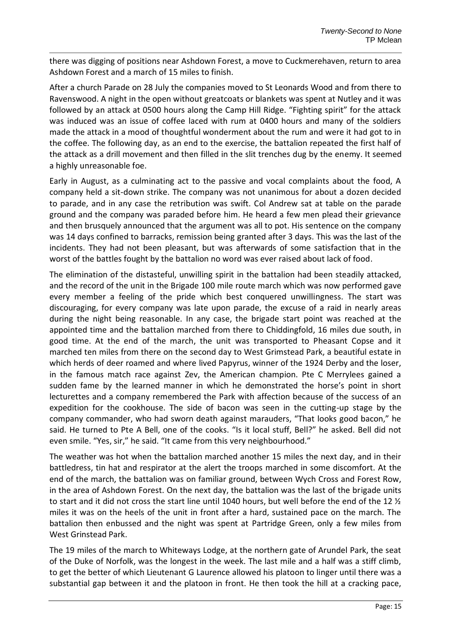there was digging of positions near Ashdown Forest, a move to Cuckmerehaven, return to area Ashdown Forest and a march of 15 miles to finish.

After a church Parade on 28 July the companies moved to St Leonards Wood and from there to Ravenswood. A night in the open without greatcoats or blankets was spent at Nutley and it was followed by an attack at 0500 hours along the Camp Hill Ridge. "Fighting spirit" for the attack was induced was an issue of coffee laced with rum at 0400 hours and many of the soldiers made the attack in a mood of thoughtful wonderment about the rum and were it had got to in the coffee. The following day, as an end to the exercise, the battalion repeated the first half of the attack as a drill movement and then filled in the slit trenches dug by the enemy. It seemed a highly unreasonable foe.

Early in August, as a culminating act to the passive and vocal complaints about the food, A company held a sit-down strike. The company was not unanimous for about a dozen decided to parade, and in any case the retribution was swift. Col Andrew sat at table on the parade ground and the company was paraded before him. He heard a few men plead their grievance and then brusquely announced that the argument was all to pot. His sentence on the company was 14 days confined to barracks, remission being granted after 3 days. This was the last of the incidents. They had not been pleasant, but was afterwards of some satisfaction that in the worst of the battles fought by the battalion no word was ever raised about lack of food.

The elimination of the distasteful, unwilling spirit in the battalion had been steadily attacked, and the record of the unit in the Brigade 100 mile route march which was now performed gave every member a feeling of the pride which best conquered unwillingness. The start was discouraging, for every company was late upon parade, the excuse of a raid in nearly areas during the night being reasonable. In any case, the brigade start point was reached at the appointed time and the battalion marched from there to Chiddingfold, 16 miles due south, in good time. At the end of the march, the unit was transported to Pheasant Copse and it marched ten miles from there on the second day to West Grimstead Park, a beautiful estate in which herds of deer roamed and where lived Papyrus, winner of the 1924 Derby and the loser, in the famous match race against Zev, the American champion. Pte C Merrylees gained a sudden fame by the learned manner in which he demonstrated the horse's point in short lecturettes and a company remembered the Park with affection because of the success of an expedition for the cookhouse. The side of bacon was seen in the cutting-up stage by the company commander, who had sworn death against marauders, "That looks good bacon," he said. He turned to Pte A Bell, one of the cooks. "Is it local stuff, Bell?" he asked. Bell did not even smile. "Yes, sir," he said. "It came from this very neighbourhood."

The weather was hot when the battalion marched another 15 miles the next day, and in their battledress, tin hat and respirator at the alert the troops marched in some discomfort. At the end of the march, the battalion was on familiar ground, between Wych Cross and Forest Row, in the area of Ashdown Forest. On the next day, the battalion was the last of the brigade units to start and it did not cross the start line until 1040 hours, but well before the end of the 12  $\frac{1}{2}$ miles it was on the heels of the unit in front after a hard, sustained pace on the march. The battalion then enbussed and the night was spent at Partridge Green, only a few miles from West Grinstead Park.

The 19 miles of the march to Whiteways Lodge, at the northern gate of Arundel Park, the seat of the Duke of Norfolk, was the longest in the week. The last mile and a half was a stiff climb, to get the better of which Lieutenant G Laurence allowed his platoon to linger until there was a substantial gap between it and the platoon in front. He then took the hill at a cracking pace,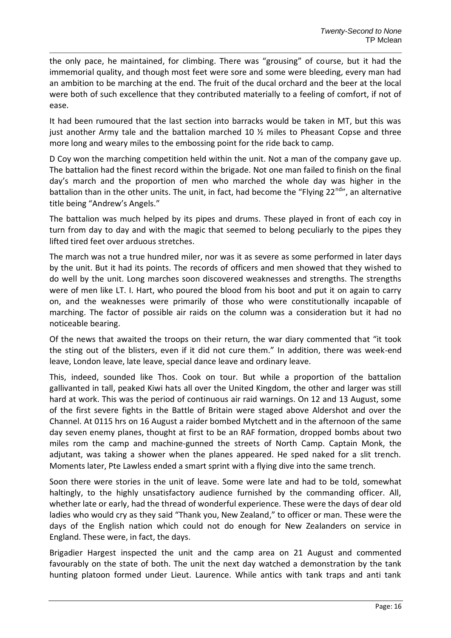the only pace, he maintained, for climbing. There was "grousing" of course, but it had the immemorial quality, and though most feet were sore and some were bleeding, every man had an ambition to be marching at the end. The fruit of the ducal orchard and the beer at the local were both of such excellence that they contributed materially to a feeling of comfort, if not of ease.

It had been rumoured that the last section into barracks would be taken in MT, but this was just another Army tale and the battalion marched 10  $\frac{1}{2}$  miles to Pheasant Copse and three more long and weary miles to the embossing point for the ride back to camp.

D Coy won the marching competition held within the unit. Not a man of the company gave up. The battalion had the finest record within the brigade. Not one man failed to finish on the final day's march and the proportion of men who marched the whole day was higher in the battalion than in the other units. The unit, in fact, had become the "Flying  $22^{nd}$ ", an alternative title being "Andrew's Angels."

The battalion was much helped by its pipes and drums. These played in front of each coy in turn from day to day and with the magic that seemed to belong peculiarly to the pipes they lifted tired feet over arduous stretches.

The march was not a true hundred miler, nor was it as severe as some performed in later days by the unit. But it had its points. The records of officers and men showed that they wished to do well by the unit. Long marches soon discovered weaknesses and strengths. The strengths were of men like LT. I. Hart, who poured the blood from his boot and put it on again to carry on, and the weaknesses were primarily of those who were constitutionally incapable of marching. The factor of possible air raids on the column was a consideration but it had no noticeable bearing.

Of the news that awaited the troops on their return, the war diary commented that "it took the sting out of the blisters, even if it did not cure them." In addition, there was week-end leave, London leave, late leave, special dance leave and ordinary leave.

This, indeed, sounded like Thos. Cook on tour. But while a proportion of the battalion gallivanted in tall, peaked Kiwi hats all over the United Kingdom, the other and larger was still hard at work. This was the period of continuous air raid warnings. On 12 and 13 August, some of the first severe fights in the Battle of Britain were staged above Aldershot and over the Channel. At 0115 hrs on 16 August a raider bombed Mytchett and in the afternoon of the same day seven enemy planes, thought at first to be an RAF formation, dropped bombs about two miles rom the camp and machine-gunned the streets of North Camp. Captain Monk, the adjutant, was taking a shower when the planes appeared. He sped naked for a slit trench. Moments later, Pte Lawless ended a smart sprint with a flying dive into the same trench.

Soon there were stories in the unit of leave. Some were late and had to be told, somewhat haltingly, to the highly unsatisfactory audience furnished by the commanding officer. All, whether late or early, had the thread of wonderful experience. These were the days of dear old ladies who would cry as they said "Thank you, New Zealand," to officer or man. These were the days of the English nation which could not do enough for New Zealanders on service in England. These were, in fact, the days.

Brigadier Hargest inspected the unit and the camp area on 21 August and commented favourably on the state of both. The unit the next day watched a demonstration by the tank hunting platoon formed under Lieut. Laurence. While antics with tank traps and anti tank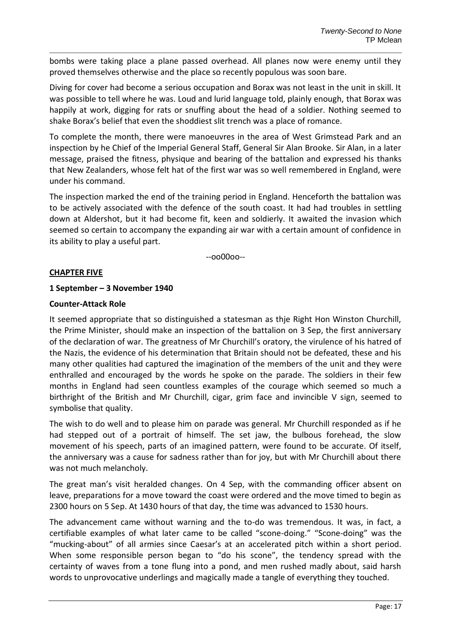bombs were taking place a plane passed overhead. All planes now were enemy until they proved themselves otherwise and the place so recently populous was soon bare.

Diving for cover had become a serious occupation and Borax was not least in the unit in skill. It was possible to tell where he was. Loud and lurid language told, plainly enough, that Borax was happily at work, digging for rats or snuffing about the head of a soldier. Nothing seemed to shake Borax's belief that even the shoddiest slit trench was a place of romance.

To complete the month, there were manoeuvres in the area of West Grimstead Park and an inspection by he Chief of the Imperial General Staff, General Sir Alan Brooke. Sir Alan, in a later message, praised the fitness, physique and bearing of the battalion and expressed his thanks that New Zealanders, whose felt hat of the first war was so well remembered in England, were under his command.

The inspection marked the end of the training period in England. Henceforth the battalion was to be actively associated with the defence of the south coast. It had had troubles in settling down at Aldershot, but it had become fit, keen and soldierly. It awaited the invasion which seemed so certain to accompany the expanding air war with a certain amount of confidence in its ability to play a useful part.

--oo00oo--

## **CHAPTER FIVE**

## **1 September – 3 November 1940**

## **Counter-Attack Role**

It seemed appropriate that so distinguished a statesman as thje Right Hon Winston Churchill, the Prime Minister, should make an inspection of the battalion on 3 Sep, the first anniversary of the declaration of war. The greatness of Mr Churchill's oratory, the virulence of his hatred of the Nazis, the evidence of his determination that Britain should not be defeated, these and his many other qualities had captured the imagination of the members of the unit and they were enthralled and encouraged by the words he spoke on the parade. The soldiers in their few months in England had seen countless examples of the courage which seemed so much a birthright of the British and Mr Churchill, cigar, grim face and invincible V sign, seemed to symbolise that quality.

The wish to do well and to please him on parade was general. Mr Churchill responded as if he had stepped out of a portrait of himself. The set jaw, the bulbous forehead, the slow movement of his speech, parts of an imagined pattern, were found to be accurate. Of itself, the anniversary was a cause for sadness rather than for joy, but with Mr Churchill about there was not much melancholy.

The great man's visit heralded changes. On 4 Sep, with the commanding officer absent on leave, preparations for a move toward the coast were ordered and the move timed to begin as 2300 hours on 5 Sep. At 1430 hours of that day, the time was advanced to 1530 hours.

The advancement came without warning and the to-do was tremendous. It was, in fact, a certifiable examples of what later came to be called "scone-doing." "Scone-doing" was the "mucking-about" of all armies since Caesar's at an accelerated pitch within a short period. When some responsible person began to "do his scone", the tendency spread with the certainty of waves from a tone flung into a pond, and men rushed madly about, said harsh words to unprovocative underlings and magically made a tangle of everything they touched.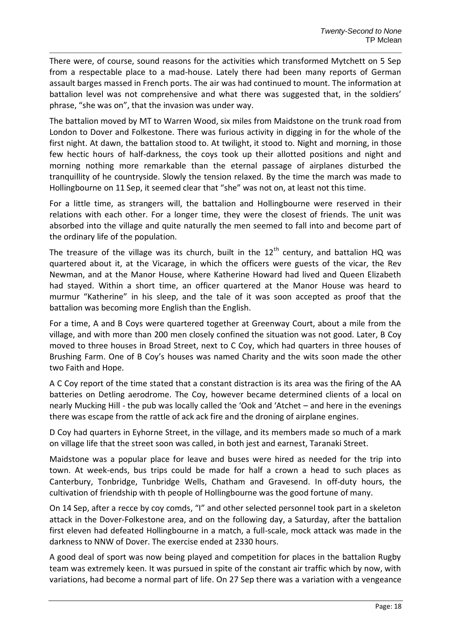There were, of course, sound reasons for the activities which transformed Mytchett on 5 Sep from a respectable place to a mad-house. Lately there had been many reports of German assault barges massed in French ports. The air was had continued to mount. The information at battalion level was not comprehensive and what there was suggested that, in the soldiers' phrase, "she was on", that the invasion was under way.

The battalion moved by MT to Warren Wood, six miles from Maidstone on the trunk road from London to Dover and Folkestone. There was furious activity in digging in for the whole of the first night. At dawn, the battalion stood to. At twilight, it stood to. Night and morning, in those few hectic hours of half-darkness, the coys took up their allotted positions and night and morning nothing more remarkable than the eternal passage of airplanes disturbed the tranquillity of he countryside. Slowly the tension relaxed. By the time the march was made to Hollingbourne on 11 Sep, it seemed clear that "she" was not on, at least not this time.

For a little time, as strangers will, the battalion and Hollingbourne were reserved in their relations with each other. For a longer time, they were the closest of friends. The unit was absorbed into the village and quite naturally the men seemed to fall into and become part of the ordinary life of the population.

The treasure of the village was its church, built in the  $12<sup>th</sup>$  century, and battalion HQ was quartered about it, at the Vicarage, in which the officers were guests of the vicar, the Rev Newman, and at the Manor House, where Katherine Howard had lived and Queen Elizabeth had stayed. Within a short time, an officer quartered at the Manor House was heard to murmur "Katherine" in his sleep, and the tale of it was soon accepted as proof that the battalion was becoming more English than the English.

For a time, A and B Coys were quartered together at Greenway Court, about a mile from the village, and with more than 200 men closely confined the situation was not good. Later, B Coy moved to three houses in Broad Street, next to C Coy, which had quarters in three houses of Brushing Farm. One of B Coy's houses was named Charity and the wits soon made the other two Faith and Hope.

A C Coy report of the time stated that a constant distraction is its area was the firing of the AA batteries on Detling aerodrome. The Coy, however became determined clients of a local on nearly Mucking Hill - the pub was locally called the 'Ook and 'Atchet – and here in the evenings there was escape from the rattle of ack ack fire and the droning of airplane engines.

D Coy had quarters in Eyhorne Street, in the village, and its members made so much of a mark on village life that the street soon was called, in both jest and earnest, Taranaki Street.

Maidstone was a popular place for leave and buses were hired as needed for the trip into town. At week-ends, bus trips could be made for half a crown a head to such places as Canterbury, Tonbridge, Tunbridge Wells, Chatham and Gravesend. In off-duty hours, the cultivation of friendship with th people of Hollingbourne was the good fortune of many.

On 14 Sep, after a recce by coy comds, "I" and other selected personnel took part in a skeleton attack in the Dover-Folkestone area, and on the following day, a Saturday, after the battalion first eleven had defeated Hollingbourne in a match, a full-scale, mock attack was made in the darkness to NNW of Dover. The exercise ended at 2330 hours.

A good deal of sport was now being played and competition for places in the battalion Rugby team was extremely keen. It was pursued in spite of the constant air traffic which by now, with variations, had become a normal part of life. On 27 Sep there was a variation with a vengeance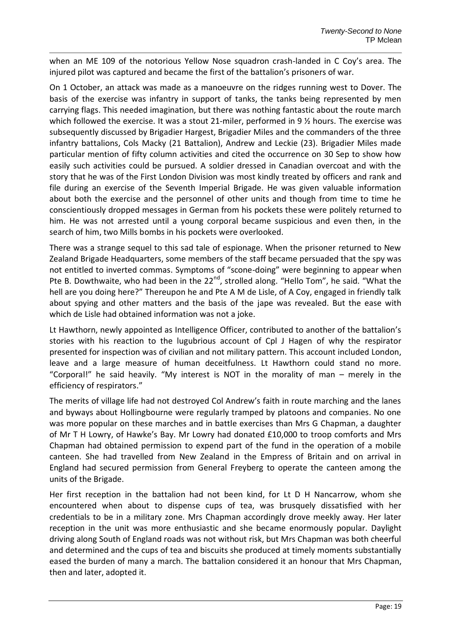when an ME 109 of the notorious Yellow Nose squadron crash-landed in C Coy's area. The injured pilot was captured and became the first of the battalion's prisoners of war.

On 1 October, an attack was made as a manoeuvre on the ridges running west to Dover. The basis of the exercise was infantry in support of tanks, the tanks being represented by men carrying flags. This needed imagination, but there was nothing fantastic about the route march which followed the exercise. It was a stout 21-miler, performed in 9  $\frac{1}{2}$  hours. The exercise was subsequently discussed by Brigadier Hargest, Brigadier Miles and the commanders of the three infantry battalions, Cols Macky (21 Battalion), Andrew and Leckie (23). Brigadier Miles made particular mention of fifty column activities and cited the occurrence on 30 Sep to show how easily such activities could be pursued. A soldier dressed in Canadian overcoat and with the story that he was of the First London Division was most kindly treated by officers and rank and file during an exercise of the Seventh Imperial Brigade. He was given valuable information about both the exercise and the personnel of other units and though from time to time he conscientiously dropped messages in German from his pockets these were politely returned to him. He was not arrested until a young corporal became suspicious and even then, in the search of him, two Mills bombs in his pockets were overlooked.

There was a strange sequel to this sad tale of espionage. When the prisoner returned to New Zealand Brigade Headquarters, some members of the staff became persuaded that the spy was not entitled to inverted commas. Symptoms of "scone-doing" were beginning to appear when Pte B. Dowthwaite, who had been in the 22<sup>nd</sup>, strolled along. "Hello Tom", he said. "What the hell are you doing here?" Thereupon he and Pte A M de Lisle, of A Coy, engaged in friendly talk about spying and other matters and the basis of the jape was revealed. But the ease with which de Lisle had obtained information was not a joke.

Lt Hawthorn, newly appointed as Intelligence Officer, contributed to another of the battalion's stories with his reaction to the lugubrious account of Cpl J Hagen of why the respirator presented for inspection was of civilian and not military pattern. This account included London, leave and a large measure of human deceitfulness. Lt Hawthorn could stand no more. "Corporal!" he said heavily. "My interest is NOT in the morality of man – merely in the efficiency of respirators."

The merits of village life had not destroyed Col Andrew's faith in route marching and the lanes and byways about Hollingbourne were regularly tramped by platoons and companies. No one was more popular on these marches and in battle exercises than Mrs G Chapman, a daughter of Mr T H Lowry, of Hawke's Bay. Mr Lowry had donated £10,000 to troop comforts and Mrs Chapman had obtained permission to expend part of the fund in the operation of a mobile canteen. She had travelled from New Zealand in the Empress of Britain and on arrival in England had secured permission from General Freyberg to operate the canteen among the units of the Brigade.

Her first reception in the battalion had not been kind, for Lt D H Nancarrow, whom she encountered when about to dispense cups of tea, was brusquely dissatisfied with her credentials to be in a military zone. Mrs Chapman accordingly drove meekly away. Her later reception in the unit was more enthusiastic and she became enormously popular. Daylight driving along South of England roads was not without risk, but Mrs Chapman was both cheerful and determined and the cups of tea and biscuits she produced at timely moments substantially eased the burden of many a march. The battalion considered it an honour that Mrs Chapman, then and later, adopted it.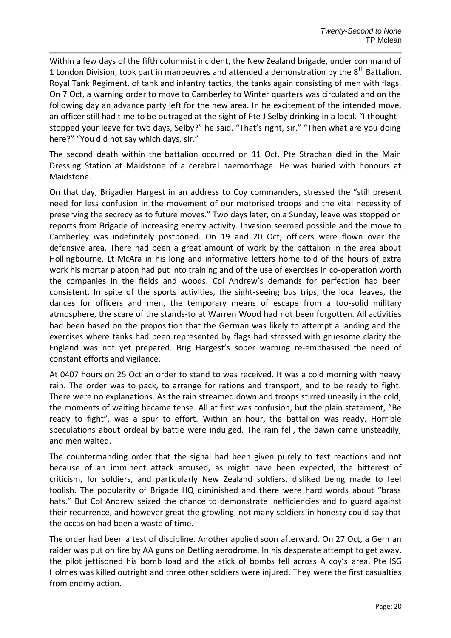Within a few days of the fifth columnist incident, the New Zealand brigade, under command of 1 London Division, took part in manoeuvres and attended a demonstration by the  $8<sup>th</sup>$  Battalion, Royal Tank Regiment, of tank and infantry tactics, the tanks again consisting of men with flags. On 7 Oct, a warning order to move to Camberley to Winter quarters was circulated and on the following day an advance party left for the new area. In he excitement of the intended move, an officer still had time to be outraged at the sight of Pte J Selby drinking in a local. "I thought I stopped your leave for two days, Selby?" he said. "That's right, sir." "Then what are you doing here?" "You did not say which days, sir."

The second death within the battalion occurred on 11 Oct. Pte Strachan died in the Main Dressing Station at Maidstone of a cerebral haemorrhage. He was buried with honours at Maidstone.

On that day, Brigadier Hargest in an address to Coy commanders, stressed the "still present need for less confusion in the movement of our motorised troops and the vital necessity of preserving the secrecy as to future moves." Two days later, on a Sunday, leave was stopped on reports from Brigade of increasing enemy activity. Invasion seemed possible and the move to Camberley was indefinitely postponed. On 19 and 20 Oct, officers were flown over the defensive area. There had been a great amount of work by the battalion in the area about Hollingbourne. Lt McAra in his long and informative letters home told of the hours of extra work his mortar platoon had put into training and of the use of exercises in co-operation worth the companies in the fields and woods. Col Andrew's demands for perfection had been consistent. In spite of the sports activities, the sight-seeing bus trips, the local leaves, the dances for officers and men, the temporary means of escape from a too-solid military atmosphere, the scare of the stands-to at Warren Wood had not been forgotten. All activities had been based on the proposition that the German was likely to attempt a landing and the exercises where tanks had been represented by flags had stressed with gruesome clarity the England was not yet prepared. Brig Hargest's sober warning re-emphasised the need of constant efforts and vigilance.

At 0407 hours on 25 Oct an order to stand to was received. It was a cold morning with heavy rain. The order was to pack, to arrange for rations and transport, and to be ready to fight. There were no explanations. As the rain streamed down and troops stirred uneasily in the cold, the moments of waiting became tense. All at first was confusion, but the plain statement, "Be ready to fight", was a spur to effort. Within an hour, the battalion was ready. Horrible speculations about ordeal by battle were indulged. The rain fell, the dawn came unsteadily, and men waited.

The countermanding order that the signal had been given purely to test reactions and not because of an imminent attack aroused, as might have been expected, the bitterest of criticism, for soldiers, and particularly New Zealand soldiers, disliked being made to feel foolish. The popularity of Brigade HQ diminished and there were hard words about "brass hats." But Col Andrew seized the chance to demonstrate inefficiencies and to guard against their recurrence, and however great the growling, not many soldiers in honesty could say that the occasion had been a waste of time.

The order had been a test of discipline. Another applied soon afterward. On 27 Oct, a German raider was put on fire by AA guns on Detling aerodrome. In his desperate attempt to get away, the pilot jettisoned his bomb load and the stick of bombs fell across A coy's area. Pte ISG Holmes was killed outright and three other soldiers were injured. They were the first casualties from enemy action.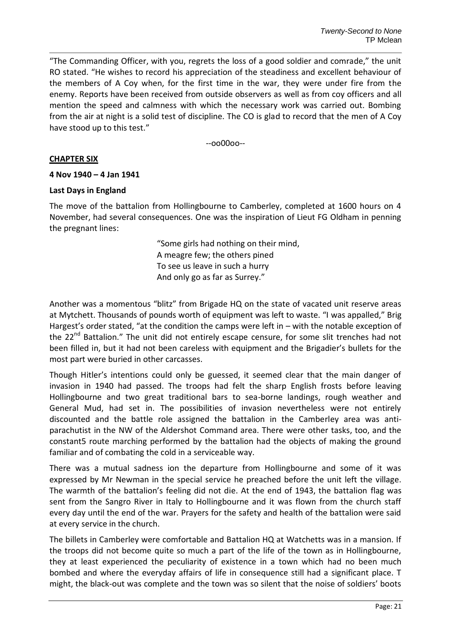"The Commanding Officer, with you, regrets the loss of a good soldier and comrade," the unit RO stated. "He wishes to record his appreciation of the steadiness and excellent behaviour of the members of A Coy when, for the first time in the war, they were under fire from the enemy. Reports have been received from outside observers as well as from coy officers and all mention the speed and calmness with which the necessary work was carried out. Bombing from the air at night is a solid test of discipline. The CO is glad to record that the men of A Coy have stood up to this test."

--oo00oo--

#### **CHAPTER SIX**

#### **4 Nov 1940 – 4 Jan 1941**

#### **Last Days in England**

The move of the battalion from Hollingbourne to Camberley, completed at 1600 hours on 4 November, had several consequences. One was the inspiration of Lieut FG Oldham in penning the pregnant lines:

> "Some girls had nothing on their mind, A meagre few; the others pined To see us leave in such a hurry And only go as far as Surrey."

Another was a momentous "blitz" from Brigade HQ on the state of vacated unit reserve areas at Mytchett. Thousands of pounds worth of equipment was left to waste. "I was appalled," Brig Hargest's order stated, "at the condition the camps were left in - with the notable exception of the 22<sup>nd</sup> Battalion." The unit did not entirely escape censure, for some slit trenches had not been filled in, but it had not been careless with equipment and the Brigadier's bullets for the most part were buried in other carcasses.

Though Hitler's intentions could only be guessed, it seemed clear that the main danger of invasion in 1940 had passed. The troops had felt the sharp English frosts before leaving Hollingbourne and two great traditional bars to sea-borne landings, rough weather and General Mud, had set in. The possibilities of invasion nevertheless were not entirely discounted and the battle role assigned the battalion in the Camberley area was antiparachutist in the NW of the Aldershot Command area. There were other tasks, too, and the constant5 route marching performed by the battalion had the objects of making the ground familiar and of combating the cold in a serviceable way.

There was a mutual sadness ion the departure from Hollingbourne and some of it was expressed by Mr Newman in the special service he preached before the unit left the village. The warmth of the battalion's feeling did not die. At the end of 1943, the battalion flag was sent from the Sangro River in Italy to Hollingbourne and it was flown from the church staff every day until the end of the war. Prayers for the safety and health of the battalion were said at every service in the church.

The billets in Camberley were comfortable and Battalion HQ at Watchetts was in a mansion. If the troops did not become quite so much a part of the life of the town as in Hollingbourne, they at least experienced the peculiarity of existence in a town which had no been much bombed and where the everyday affairs of life in consequence still had a significant place. T might, the black-out was complete and the town was so silent that the noise of soldiers' boots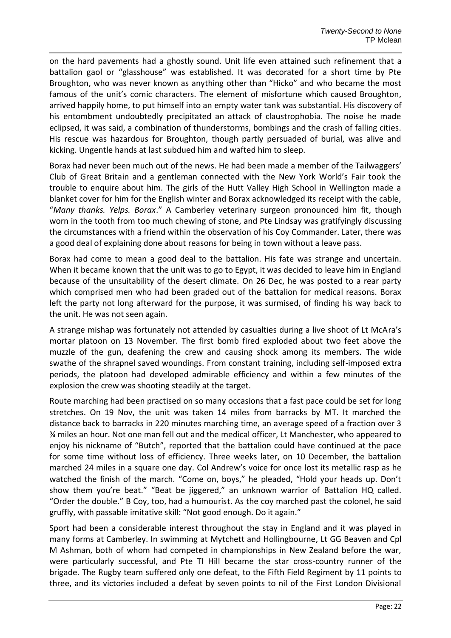on the hard pavements had a ghostly sound. Unit life even attained such refinement that a battalion gaol or "glasshouse" was established. It was decorated for a short time by Pte Broughton, who was never known as anything other than "Hicko" and who became the most famous of the unit's comic characters. The element of misfortune which caused Broughton, arrived happily home, to put himself into an empty water tank was substantial. His discovery of his entombment undoubtedly precipitated an attack of claustrophobia. The noise he made eclipsed, it was said, a combination of thunderstorms, bombings and the crash of falling cities. His rescue was hazardous for Broughton, though partly persuaded of burial, was alive and kicking. Ungentle hands at last subdued him and wafted him to sleep.

Borax had never been much out of the news. He had been made a member of the Tailwaggers' Club of Great Britain and a gentleman connected with the New York World's Fair took the trouble to enquire about him. The girls of the Hutt Valley High School in Wellington made a blanket cover for him for the English winter and Borax acknowledged its receipt with the cable, "*Many thanks. Yelps. Borax*." A Camberley veterinary surgeon pronounced him fit, though worn in the tooth from too much chewing of stone, and Pte Lindsay was gratifyingly discussing the circumstances with a friend within the observation of his Coy Commander. Later, there was a good deal of explaining done about reasons for being in town without a leave pass.

Borax had come to mean a good deal to the battalion. His fate was strange and uncertain. When it became known that the unit was to go to Egypt, it was decided to leave him in England because of the unsuitability of the desert climate. On 26 Dec, he was posted to a rear party which comprised men who had been graded out of the battalion for medical reasons. Borax left the party not long afterward for the purpose, it was surmised, of finding his way back to the unit. He was not seen again.

A strange mishap was fortunately not attended by casualties during a live shoot of Lt McAra's mortar platoon on 13 November. The first bomb fired exploded about two feet above the muzzle of the gun, deafening the crew and causing shock among its members. The wide swathe of the shrapnel saved woundings. From constant training, including self-imposed extra periods, the platoon had developed admirable efficiency and within a few minutes of the explosion the crew was shooting steadily at the target.

Route marching had been practised on so many occasions that a fast pace could be set for long stretches. On 19 Nov, the unit was taken 14 miles from barracks by MT. It marched the distance back to barracks in 220 minutes marching time, an average speed of a fraction over 3 ¾ miles an hour. Not one man fell out and the medical officer, Lt Manchester, who appeared to enjoy his nickname of "Butch", reported that the battalion could have continued at the pace for some time without loss of efficiency. Three weeks later, on 10 December, the battalion marched 24 miles in a square one day. Col Andrew's voice for once lost its metallic rasp as he watched the finish of the march. "Come on, boys," he pleaded, "Hold your heads up. Don't show them you're beat." "Beat be jiggered," an unknown warrior of Battalion HQ called. "Order the double." B Coy, too, had a humourist. As the coy marched past the colonel, he said gruffly, with passable imitative skill: "Not good enough. Do it again."

Sport had been a considerable interest throughout the stay in England and it was played in many forms at Camberley. In swimming at Mytchett and Hollingbourne, Lt GG Beaven and Cpl M Ashman, both of whom had competed in championships in New Zealand before the war, were particularly successful, and Pte TI Hill became the star cross-country runner of the brigade. The Rugby team suffered only one defeat, to the Fifth Field Regiment by 11 points to three, and its victories included a defeat by seven points to nil of the First London Divisional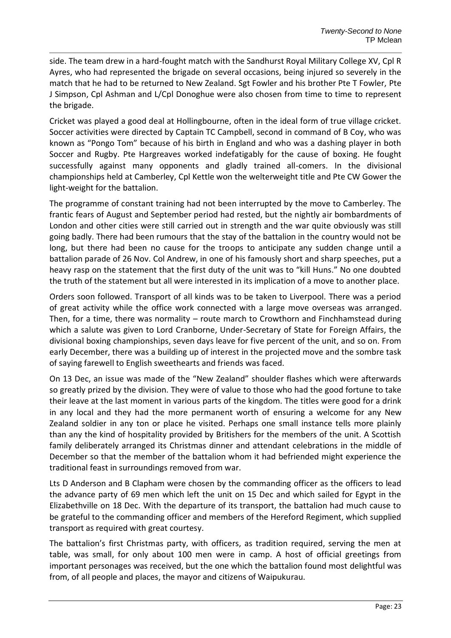side. The team drew in a hard-fought match with the Sandhurst Royal Military College XV, Cpl R Ayres, who had represented the brigade on several occasions, being injured so severely in the match that he had to be returned to New Zealand. Sgt Fowler and his brother Pte T Fowler, Pte J Simpson, Cpl Ashman and L/Cpl Donoghue were also chosen from time to time to represent the brigade.

Cricket was played a good deal at Hollingbourne, often in the ideal form of true village cricket. Soccer activities were directed by Captain TC Campbell, second in command of B Coy, who was known as "Pongo Tom" because of his birth in England and who was a dashing player in both Soccer and Rugby. Pte Hargreaves worked indefatigably for the cause of boxing. He fought successfully against many opponents and gladly trained all-comers. In the divisional championships held at Camberley, Cpl Kettle won the welterweight title and Pte CW Gower the light-weight for the battalion.

The programme of constant training had not been interrupted by the move to Camberley. The frantic fears of August and September period had rested, but the nightly air bombardments of London and other cities were still carried out in strength and the war quite obviously was still going badly. There had been rumours that the stay of the battalion in the country would not be long, but there had been no cause for the troops to anticipate any sudden change until a battalion parade of 26 Nov. Col Andrew, in one of his famously short and sharp speeches, put a heavy rasp on the statement that the first duty of the unit was to "kill Huns." No one doubted the truth of the statement but all were interested in its implication of a move to another place.

Orders soon followed. Transport of all kinds was to be taken to Liverpool. There was a period of great activity while the office work connected with a large move overseas was arranged. Then, for a time, there was normality – route march to Crowthorn and Finchhamstead during which a salute was given to Lord Cranborne, Under-Secretary of State for Foreign Affairs, the divisional boxing championships, seven days leave for five percent of the unit, and so on. From early December, there was a building up of interest in the projected move and the sombre task of saying farewell to English sweethearts and friends was faced.

On 13 Dec, an issue was made of the "New Zealand" shoulder flashes which were afterwards so greatly prized by the division. They were of value to those who had the good fortune to take their leave at the last moment in various parts of the kingdom. The titles were good for a drink in any local and they had the more permanent worth of ensuring a welcome for any New Zealand soldier in any ton or place he visited. Perhaps one small instance tells more plainly than any the kind of hospitality provided by Britishers for the members of the unit. A Scottish family deliberately arranged its Christmas dinner and attendant celebrations in the middle of December so that the member of the battalion whom it had befriended might experience the traditional feast in surroundings removed from war.

Lts D Anderson and B Clapham were chosen by the commanding officer as the officers to lead the advance party of 69 men which left the unit on 15 Dec and which sailed for Egypt in the Elizabethville on 18 Dec. With the departure of its transport, the battalion had much cause to be grateful to the commanding officer and members of the Hereford Regiment, which supplied transport as required with great courtesy.

The battalion's first Christmas party, with officers, as tradition required, serving the men at table, was small, for only about 100 men were in camp. A host of official greetings from important personages was received, but the one which the battalion found most delightful was from, of all people and places, the mayor and citizens of Waipukurau.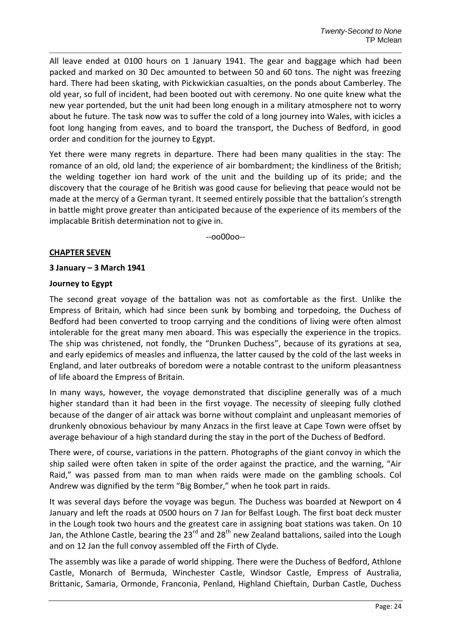All leave ended at 0100 hours on 1 January 1941. The gear and baggage which had been packed and marked on 30 Dec amounted to between 50 and 60 tons. The night was freezing hard. There had been skating, with Pickwickian casualties, on the ponds about Camberley. The old year, so full of incident, had been booted out with ceremony. No one quite knew what the new year portended, but the unit had been long enough in a military atmosphere not to worry about he future. The task now was to suffer the cold of a long journey into Wales, with icicles a foot long hanging from eaves, and to board the transport, the Duchess of Bedford, in good order and condition for the journey to Egypt.

Yet there were many regrets in departure. There had been many qualities in the stay: The romance of an old, old land; the experience of air bombardment; the kindliness of the British; the welding together ion hard work of the unit and the building up of its pride; and the discovery that the courage of he British was good cause for believing that peace would not be made at the mercy of a German tyrant. It seemed entirely possible that the battalion's strength in battle might prove greater than anticipated because of the experience of its members of the implacable British determination not to give in.

--oo00oo--

#### **CHAPTER SEVEN**

#### **3 January – 3 March 1941**

#### **Journey to Egypt**

The second great voyage of the battalion was not as comfortable as the first. Unlike the Empress of Britain, which had since been sunk by bombing and torpedoing, the Duchess of Bedford had been converted to troop carrying and the conditions of living were often almost intolerable for the great many men aboard. This was especially the experience in the tropics. The ship was christened, not fondly, the "Drunken Duchess", because of its gyrations at sea, and early epidemics of measles and influenza, the latter caused by the cold of the last weeks in England, and later outbreaks of boredom were a notable contrast to the uniform pleasantness of life aboard the Empress of Britain.

In many ways, however, the voyage demonstrated that discipline generally was of a much higher standard than it had been in the first voyage. The necessity of sleeping fully clothed because of the danger of air attack was borne without complaint and unpleasant memories of drunkenly obnoxious behaviour by many Anzacs in the first leave at Cape Town were offset by average behaviour of a high standard during the stay in the port of the Duchess of Bedford.

There were, of course, variations in the pattern. Photographs of the giant convoy in which the ship sailed were often taken in spite of the order against the practice, and the warning, "Air Raid," was passed from man to man when raids were made on the gambling schools. Col Andrew was dignified by the term "Big Bomber," when he took part in raids.

It was several days before the voyage was begun. The Duchess was boarded at Newport on 4 January and left the roads at 0500 hours on 7 Jan for Belfast Lough. The first boat deck muster in the Lough took two hours and the greatest care in assigning boat stations was taken. On 10 Jan, the Athlone Castle, bearing the 23<sup>rd</sup> and 28<sup>th</sup> new Zealand battalions, sailed into the Lough and on 12 Jan the full convoy assembled off the Firth of Clyde.

The assembly was like a parade of world shipping. There were the Duchess of Bedford, Athlone Castle, Monarch of Bermuda, Winchester Castle, Windsor Castle, Empress of Australia, Brittanic, Samaria, Ormonde, Franconia, Penland, Highland Chieftain, Durban Castle, Duchess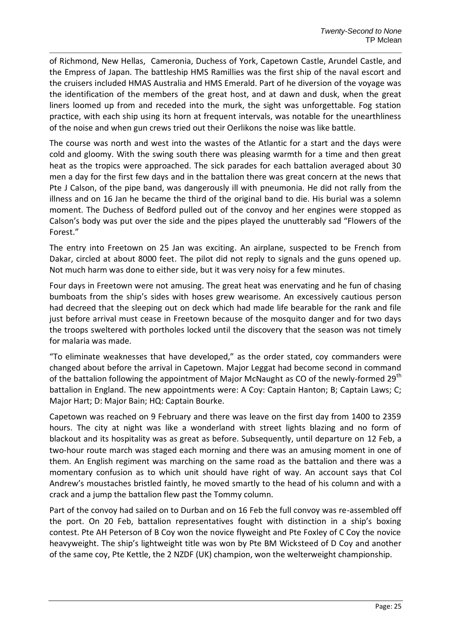of Richmond, New Hellas, Cameronia, Duchess of York, Capetown Castle, Arundel Castle, and the Empress of Japan. The battleship HMS Ramillies was the first ship of the naval escort and the cruisers included HMAS Australia and HMS Emerald. Part of he diversion of the voyage was the identification of the members of the great host, and at dawn and dusk, when the great liners loomed up from and receded into the murk, the sight was unforgettable. Fog station practice, with each ship using its horn at frequent intervals, was notable for the unearthliness of the noise and when gun crews tried out their Oerlikons the noise was like battle.

The course was north and west into the wastes of the Atlantic for a start and the days were cold and gloomy. With the swing south there was pleasing warmth for a time and then great heat as the tropics were approached. The sick parades for each battalion averaged about 30 men a day for the first few days and in the battalion there was great concern at the news that Pte J Calson, of the pipe band, was dangerously ill with pneumonia. He did not rally from the illness and on 16 Jan he became the third of the original band to die. His burial was a solemn moment. The Duchess of Bedford pulled out of the convoy and her engines were stopped as Calson's body was put over the side and the pipes played the unutterably sad "Flowers of the Forest."

The entry into Freetown on 25 Jan was exciting. An airplane, suspected to be French from Dakar, circled at about 8000 feet. The pilot did not reply to signals and the guns opened up. Not much harm was done to either side, but it was very noisy for a few minutes.

Four days in Freetown were not amusing. The great heat was enervating and he fun of chasing bumboats from the ship's sides with hoses grew wearisome. An excessively cautious person had decreed that the sleeping out on deck which had made life bearable for the rank and file just before arrival must cease in Freetown because of the mosquito danger and for two days the troops sweltered with portholes locked until the discovery that the season was not timely for malaria was made.

"To eliminate weaknesses that have developed," as the order stated, coy commanders were changed about before the arrival in Capetown. Major Leggat had become second in command of the battalion following the appointment of Major McNaught as CO of the newly-formed 29<sup>th</sup> battalion in England. The new appointments were: A Coy: Captain Hanton; B; Captain Laws; C; Major Hart; D: Major Bain; HQ: Captain Bourke.

Capetown was reached on 9 February and there was leave on the first day from 1400 to 2359 hours. The city at night was like a wonderland with street lights blazing and no form of blackout and its hospitality was as great as before. Subsequently, until departure on 12 Feb, a two-hour route march was staged each morning and there was an amusing moment in one of them. An English regiment was marching on the same road as the battalion and there was a momentary confusion as to which unit should have right of way. An account says that Col Andrew's moustaches bristled faintly, he moved smartly to the head of his column and with a crack and a jump the battalion flew past the Tommy column.

Part of the convoy had sailed on to Durban and on 16 Feb the full convoy was re-assembled off the port. On 20 Feb, battalion representatives fought with distinction in a ship's boxing contest. Pte AH Peterson of B Coy won the novice flyweight and Pte Foxley of C Coy the novice heavyweight. The ship's lightweight title was won by Pte BM Wicksteed of D Coy and another of the same coy, Pte Kettle, the 2 NZDF (UK) champion, won the welterweight championship.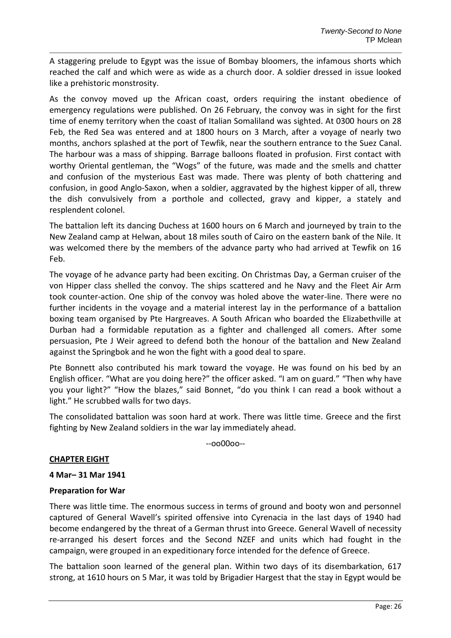A staggering prelude to Egypt was the issue of Bombay bloomers, the infamous shorts which reached the calf and which were as wide as a church door. A soldier dressed in issue looked like a prehistoric monstrosity.

As the convoy moved up the African coast, orders requiring the instant obedience of emergency regulations were published. On 26 February, the convoy was in sight for the first time of enemy territory when the coast of Italian Somaliland was sighted. At 0300 hours on 28 Feb, the Red Sea was entered and at 1800 hours on 3 March, after a voyage of nearly two months, anchors splashed at the port of Tewfik, near the southern entrance to the Suez Canal. The harbour was a mass of shipping. Barrage balloons floated in profusion. First contact with worthy Oriental gentleman, the "Wogs" of the future, was made and the smells and chatter and confusion of the mysterious East was made. There was plenty of both chattering and confusion, in good Anglo-Saxon, when a soldier, aggravated by the highest kipper of all, threw the dish convulsively from a porthole and collected, gravy and kipper, a stately and resplendent colonel.

The battalion left its dancing Duchess at 1600 hours on 6 March and journeyed by train to the New Zealand camp at Helwan, about 18 miles south of Cairo on the eastern bank of the Nile. It was welcomed there by the members of the advance party who had arrived at Tewfik on 16 Feb.

The voyage of he advance party had been exciting. On Christmas Day, a German cruiser of the von Hipper class shelled the convoy. The ships scattered and he Navy and the Fleet Air Arm took counter-action. One ship of the convoy was holed above the water-line. There were no further incidents in the voyage and a material interest lay in the performance of a battalion boxing team organised by Pte Hargreaves. A South African who boarded the Elizabethville at Durban had a formidable reputation as a fighter and challenged all comers. After some persuasion, Pte J Weir agreed to defend both the honour of the battalion and New Zealand against the Springbok and he won the fight with a good deal to spare.

Pte Bonnett also contributed his mark toward the voyage. He was found on his bed by an English officer. "What are you doing here?" the officer asked. "I am on guard." "Then why have you your light?" "How the blazes," said Bonnet, "do you think I can read a book without a light." He scrubbed walls for two days.

The consolidated battalion was soon hard at work. There was little time. Greece and the first fighting by New Zealand soldiers in the war lay immediately ahead.

--oo00oo--

#### **CHAPTER EIGHT**

#### **4 Mar– 31 Mar 1941**

#### **Preparation for War**

There was little time. The enormous success in terms of ground and booty won and personnel captured of General Wavell's spirited offensive into Cyrenacia in the last days of 1940 had become endangered by the threat of a German thrust into Greece. General Wavell of necessity re-arranged his desert forces and the Second NZEF and units which had fought in the campaign, were grouped in an expeditionary force intended for the defence of Greece.

The battalion soon learned of the general plan. Within two days of its disembarkation, 617 strong, at 1610 hours on 5 Mar, it was told by Brigadier Hargest that the stay in Egypt would be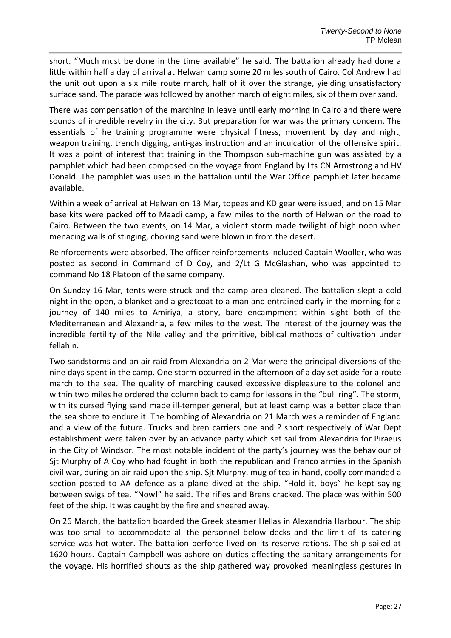short. "Much must be done in the time available" he said. The battalion already had done a little within half a day of arrival at Helwan camp some 20 miles south of Cairo. Col Andrew had the unit out upon a six mile route march, half of it over the strange, yielding unsatisfactory surface sand. The parade was followed by another march of eight miles, six of them over sand.

There was compensation of the marching in leave until early morning in Cairo and there were sounds of incredible revelry in the city. But preparation for war was the primary concern. The essentials of he training programme were physical fitness, movement by day and night, weapon training, trench digging, anti-gas instruction and an inculcation of the offensive spirit. It was a point of interest that training in the Thompson sub-machine gun was assisted by a pamphlet which had been composed on the voyage from England by Lts CN Armstrong and HV Donald. The pamphlet was used in the battalion until the War Office pamphlet later became available.

Within a week of arrival at Helwan on 13 Mar, topees and KD gear were issued, and on 15 Mar base kits were packed off to Maadi camp, a few miles to the north of Helwan on the road to Cairo. Between the two events, on 14 Mar, a violent storm made twilight of high noon when menacing walls of stinging, choking sand were blown in from the desert.

Reinforcements were absorbed. The officer reinforcements included Captain Wooller, who was posted as second in Command of D Coy, and 2/Lt G McGlashan, who was appointed to command No 18 Platoon of the same company.

On Sunday 16 Mar, tents were struck and the camp area cleaned. The battalion slept a cold night in the open, a blanket and a greatcoat to a man and entrained early in the morning for a journey of 140 miles to Amiriya, a stony, bare encampment within sight both of the Mediterranean and Alexandria, a few miles to the west. The interest of the journey was the incredible fertility of the Nile valley and the primitive, biblical methods of cultivation under fellahin.

Two sandstorms and an air raid from Alexandria on 2 Mar were the principal diversions of the nine days spent in the camp. One storm occurred in the afternoon of a day set aside for a route march to the sea. The quality of marching caused excessive displeasure to the colonel and within two miles he ordered the column back to camp for lessons in the "bull ring". The storm, with its cursed flying sand made ill-temper general, but at least camp was a better place than the sea shore to endure it. The bombing of Alexandria on 21 March was a reminder of England and a view of the future. Trucks and bren carriers one and ? short respectively of War Dept establishment were taken over by an advance party which set sail from Alexandria for Piraeus in the City of Windsor. The most notable incident of the party's journey was the behaviour of Sjt Murphy of A Coy who had fought in both the republican and Franco armies in the Spanish civil war, during an air raid upon the ship. Sjt Murphy, mug of tea in hand, coolly commanded a section posted to AA defence as a plane dived at the ship. "Hold it, boys" he kept saying between swigs of tea. "Now!" he said. The rifles and Brens cracked. The place was within 500 feet of the ship. It was caught by the fire and sheered away.

On 26 March, the battalion boarded the Greek steamer Hellas in Alexandria Harbour. The ship was too small to accommodate all the personnel below decks and the limit of its catering service was hot water. The battalion perforce lived on its reserve rations. The ship sailed at 1620 hours. Captain Campbell was ashore on duties affecting the sanitary arrangements for the voyage. His horrified shouts as the ship gathered way provoked meaningless gestures in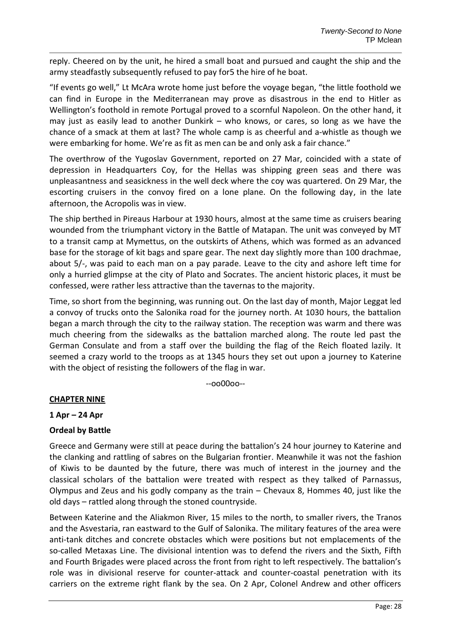reply. Cheered on by the unit, he hired a small boat and pursued and caught the ship and the army steadfastly subsequently refused to pay for5 the hire of he boat.

"If events go well," Lt McAra wrote home just before the voyage began, "the little foothold we can find in Europe in the Mediterranean may prove as disastrous in the end to Hitler as Wellington's foothold in remote Portugal proved to a scornful Napoleon. On the other hand, it may just as easily lead to another Dunkirk – who knows, or cares, so long as we have the chance of a smack at them at last? The whole camp is as cheerful and a-whistle as though we were embarking for home. We're as fit as men can be and only ask a fair chance."

The overthrow of the Yugoslav Government, reported on 27 Mar, coincided with a state of depression in Headquarters Coy, for the Hellas was shipping green seas and there was unpleasantness and seasickness in the well deck where the coy was quartered. On 29 Mar, the escorting cruisers in the convoy fired on a lone plane. On the following day, in the late afternoon, the Acropolis was in view.

The ship berthed in Pireaus Harbour at 1930 hours, almost at the same time as cruisers bearing wounded from the triumphant victory in the Battle of Matapan. The unit was conveyed by MT to a transit camp at Mymettus, on the outskirts of Athens, which was formed as an advanced base for the storage of kit bags and spare gear. The next day slightly more than 100 drachmae, about 5/-, was paid to each man on a pay parade. Leave to the city and ashore left time for only a hurried glimpse at the city of Plato and Socrates. The ancient historic places, it must be confessed, were rather less attractive than the tavernas to the majority.

Time, so short from the beginning, was running out. On the last day of month, Major Leggat led a convoy of trucks onto the Salonika road for the journey north. At 1030 hours, the battalion began a march through the city to the railway station. The reception was warm and there was much cheering from the sidewalks as the battalion marched along. The route led past the German Consulate and from a staff over the building the flag of the Reich floated lazily. It seemed a crazy world to the troops as at 1345 hours they set out upon a journey to Katerine with the object of resisting the followers of the flag in war.

--oo00oo--

# **CHAPTER NINE**

**1 Apr – 24 Apr**

# **Ordeal by Battle**

Greece and Germany were still at peace during the battalion's 24 hour journey to Katerine and the clanking and rattling of sabres on the Bulgarian frontier. Meanwhile it was not the fashion of Kiwis to be daunted by the future, there was much of interest in the journey and the classical scholars of the battalion were treated with respect as they talked of Parnassus, Olympus and Zeus and his godly company as the train – Chevaux 8, Hommes 40, just like the old days – rattled along through the stoned countryside.

Between Katerine and the Aliakmon River, 15 miles to the north, to smaller rivers, the Tranos and the Asvestaria, ran eastward to the Gulf of Salonika. The military features of the area were anti-tank ditches and concrete obstacles which were positions but not emplacements of the so-called Metaxas Line. The divisional intention was to defend the rivers and the Sixth, Fifth and Fourth Brigades were placed across the front from right to left respectively. The battalion's role was in divisional reserve for counter-attack and counter-coastal penetration with its carriers on the extreme right flank by the sea. On 2 Apr, Colonel Andrew and other officers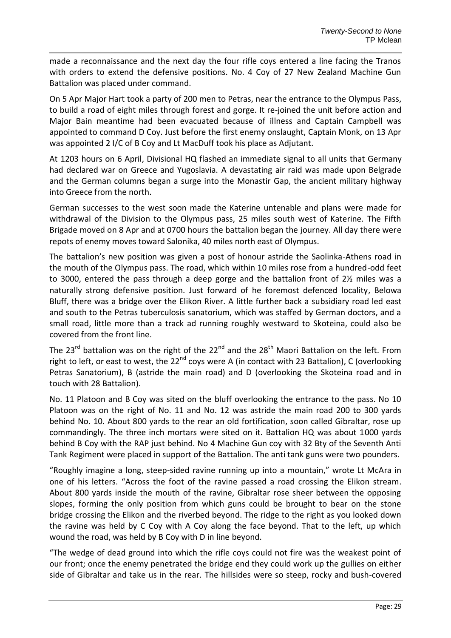made a reconnaissance and the next day the four rifle coys entered a line facing the Tranos with orders to extend the defensive positions. No. 4 Coy of 27 New Zealand Machine Gun Battalion was placed under command.

On 5 Apr Major Hart took a party of 200 men to Petras, near the entrance to the Olympus Pass, to build a road of eight miles through forest and gorge. It re-joined the unit before action and Major Bain meantime had been evacuated because of illness and Captain Campbell was appointed to command D Coy. Just before the first enemy onslaught, Captain Monk, on 13 Apr was appointed 2 I/C of B Coy and Lt MacDuff took his place as Adjutant.

At 1203 hours on 6 April, Divisional HQ flashed an immediate signal to all units that Germany had declared war on Greece and Yugoslavia. A devastating air raid was made upon Belgrade and the German columns began a surge into the Monastir Gap, the ancient military highway into Greece from the north.

German successes to the west soon made the Katerine untenable and plans were made for withdrawal of the Division to the Olympus pass, 25 miles south west of Katerine. The Fifth Brigade moved on 8 Apr and at 0700 hours the battalion began the journey. All day there were repots of enemy moves toward Salonika, 40 miles north east of Olympus.

The battalion's new position was given a post of honour astride the Saolinka-Athens road in the mouth of the Olympus pass. The road, which within 10 miles rose from a hundred-odd feet to 3000, entered the pass through a deep gorge and the battalion front of 2½ miles was a naturally strong defensive position. Just forward of he foremost defenced locality, Belowa Bluff, there was a bridge over the Elikon River. A little further back a subsidiary road led east and south to the Petras tuberculosis sanatorium, which was staffed by German doctors, and a small road, little more than a track ad running roughly westward to Skoteina, could also be covered from the front line.

The 23<sup>rd</sup> battalion was on the right of the 22<sup>nd</sup> and the 28<sup>th</sup> Maori Battalion on the left. From right to left, or east to west, the  $22^{nd}$  coys were A (in contact with 23 Battalion), C (overlooking Petras Sanatorium), B (astride the main road) and D (overlooking the Skoteina road and in touch with 28 Battalion).

No. 11 Platoon and B Coy was sited on the bluff overlooking the entrance to the pass. No 10 Platoon was on the right of No. 11 and No. 12 was astride the main road 200 to 300 yards behind No. 10. About 800 yards to the rear an old fortification, soon called Gibraltar, rose up commandingly. The three inch mortars were sited on it. Battalion HQ was about 1000 yards behind B Coy with the RAP just behind. No 4 Machine Gun coy with 32 Bty of the Seventh Anti Tank Regiment were placed in support of the Battalion. The anti tank guns were two pounders.

"Roughly imagine a long, steep-sided ravine running up into a mountain," wrote Lt McAra in one of his letters. "Across the foot of the ravine passed a road crossing the Elikon stream. About 800 yards inside the mouth of the ravine, Gibraltar rose sheer between the opposing slopes, forming the only position from which guns could be brought to bear on the stone bridge crossing the Elikon and the riverbed beyond. The ridge to the right as you looked down the ravine was held by C Coy with A Coy along the face beyond. That to the left, up which wound the road, was held by B Coy with D in line beyond.

"The wedge of dead ground into which the rifle coys could not fire was the weakest point of our front; once the enemy penetrated the bridge end they could work up the gullies on either side of Gibraltar and take us in the rear. The hillsides were so steep, rocky and bush-covered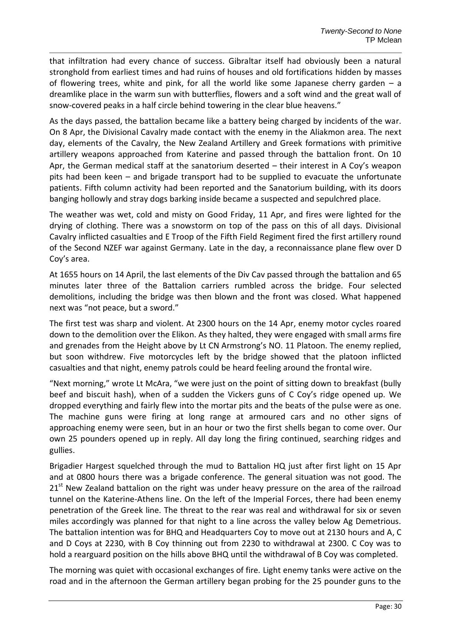that infiltration had every chance of success. Gibraltar itself had obviously been a natural stronghold from earliest times and had ruins of houses and old fortifications hidden by masses of flowering trees, white and pink, for all the world like some Japanese cherry garden  $-$  a dreamlike place in the warm sun with butterflies, flowers and a soft wind and the great wall of snow-covered peaks in a half circle behind towering in the clear blue heavens."

As the days passed, the battalion became like a battery being charged by incidents of the war. On 8 Apr, the Divisional Cavalry made contact with the enemy in the Aliakmon area. The next day, elements of the Cavalry, the New Zealand Artillery and Greek formations with primitive artillery weapons approached from Katerine and passed through the battalion front. On 10 Apr, the German medical staff at the sanatorium deserted – their interest in A Coy's weapon pits had been keen – and brigade transport had to be supplied to evacuate the unfortunate patients. Fifth column activity had been reported and the Sanatorium building, with its doors banging hollowly and stray dogs barking inside became a suspected and sepulchred place.

The weather was wet, cold and misty on Good Friday, 11 Apr, and fires were lighted for the drying of clothing. There was a snowstorm on top of the pass on this of all days. Divisional Cavalry inflicted casualties and E Troop of the Fifth Field Regiment fired the first artillery round of the Second NZEF war against Germany. Late in the day, a reconnaissance plane flew over D Coy's area.

At 1655 hours on 14 April, the last elements of the Div Cav passed through the battalion and 65 minutes later three of the Battalion carriers rumbled across the bridge. Four selected demolitions, including the bridge was then blown and the front was closed. What happened next was "not peace, but a sword."

The first test was sharp and violent. At 2300 hours on the 14 Apr, enemy motor cycles roared down to the demolition over the Elikon. As they halted, they were engaged with small arms fire and grenades from the Height above by Lt CN Armstrong's NO. 11 Platoon. The enemy replied, but soon withdrew. Five motorcycles left by the bridge showed that the platoon inflicted casualties and that night, enemy patrols could be heard feeling around the frontal wire.

"Next morning," wrote Lt McAra, "we were just on the point of sitting down to breakfast (bully beef and biscuit hash), when of a sudden the Vickers guns of C Coy's ridge opened up. We dropped everything and fairly flew into the mortar pits and the beats of the pulse were as one. The machine guns were firing at long range at armoured cars and no other signs of approaching enemy were seen, but in an hour or two the first shells began to come over. Our own 25 pounders opened up in reply. All day long the firing continued, searching ridges and gullies.

Brigadier Hargest squelched through the mud to Battalion HQ just after first light on 15 Apr and at 0800 hours there was a brigade conference. The general situation was not good. The  $21<sup>st</sup>$  New Zealand battalion on the right was under heavy pressure on the area of the railroad tunnel on the Katerine-Athens line. On the left of the Imperial Forces, there had been enemy penetration of the Greek line. The threat to the rear was real and withdrawal for six or seven miles accordingly was planned for that night to a line across the valley below Ag Demetrious. The battalion intention was for BHQ and Headquarters Coy to move out at 2130 hours and A, C and D Coys at 2230, with B Coy thinning out from 2230 to withdrawal at 2300. C Coy was to hold a rearguard position on the hills above BHQ until the withdrawal of B Coy was completed.

The morning was quiet with occasional exchanges of fire. Light enemy tanks were active on the road and in the afternoon the German artillery began probing for the 25 pounder guns to the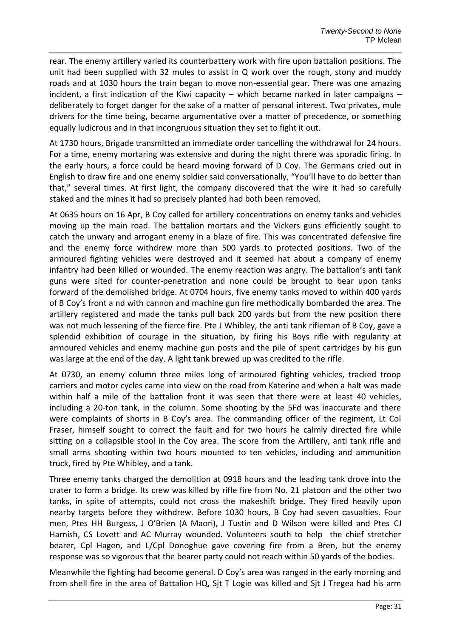rear. The enemy artillery varied its counterbattery work with fire upon battalion positions. The unit had been supplied with 32 mules to assist in Q work over the rough, stony and muddy roads and at 1030 hours the train began to move non-essential gear. There was one amazing incident, a first indication of the Kiwi capacity – which became narked in later campaigns – deliberately to forget danger for the sake of a matter of personal interest. Two privates, mule drivers for the time being, became argumentative over a matter of precedence, or something equally ludicrous and in that incongruous situation they set to fight it out.

At 1730 hours, Brigade transmitted an immediate order cancelling the withdrawal for 24 hours. For a time, enemy mortaring was extensive and during the night threre was sporadic firing. In the early hours, a force could be heard moving forward of D Coy. The Germans cried out in English to draw fire and one enemy soldier said conversationally, "You'll have to do better than that," several times. At first light, the company discovered that the wire it had so carefully staked and the mines it had so precisely planted had both been removed.

At 0635 hours on 16 Apr, B Coy called for artillery concentrations on enemy tanks and vehicles moving up the main road. The battalion mortars and the Vickers guns efficiently sought to catch the unwary and arrogant enemy in a blaze of fire. This was concentrated defensive fire and the enemy force withdrew more than 500 yards to protected positions. Two of the armoured fighting vehicles were destroyed and it seemed hat about a company of enemy infantry had been killed or wounded. The enemy reaction was angry. The battalion's anti tank guns were sited for counter-penetration and none could be brought to bear upon tanks forward of the demolished bridge. At 0704 hours, five enemy tanks moved to within 400 yards of B Coy's front a nd with cannon and machine gun fire methodically bombarded the area. The artillery registered and made the tanks pull back 200 yards but from the new position there was not much lessening of the fierce fire. Pte J Whibley, the anti tank rifleman of B Coy, gave a splendid exhibition of courage in the situation, by firing his Boys rifle with regularity at armoured vehicles and enemy machine gun posts and the pile of spent cartridges by his gun was large at the end of the day. A light tank brewed up was credited to the rifle.

At 0730, an enemy column three miles long of armoured fighting vehicles, tracked troop carriers and motor cycles came into view on the road from Katerine and when a halt was made within half a mile of the battalion front it was seen that there were at least 40 vehicles, including a 20-ton tank, in the column. Some shooting by the 5Fd was inaccurate and there were complaints of shorts in B Coy's area. The commanding officer of the regiment, Lt Col Fraser, himself sought to correct the fault and for two hours he calmly directed fire while sitting on a collapsible stool in the Coy area. The score from the Artillery, anti tank rifle and small arms shooting within two hours mounted to ten vehicles, including and ammunition truck, fired by Pte Whibley, and a tank.

Three enemy tanks charged the demolition at 0918 hours and the leading tank drove into the crater to form a bridge. Its crew was killed by rifle fire from No. 21 platoon and the other two tanks, in spite of attempts, could not cross the makeshift bridge. They fired heavily upon nearby targets before they withdrew. Before 1030 hours, B Coy had seven casualties. Four men, Ptes HH Burgess, J O'Brien (A Maori), J Tustin and D Wilson were killed and Ptes CJ Harnish, CS Lovett and AC Murray wounded. Volunteers south to help the chief stretcher bearer, Cpl Hagen, and L/Cpl Donoghue gave covering fire from a Bren, but the enemy response was so vigorous that the bearer party could not reach within 50 yards of the bodies.

Meanwhile the fighting had become general. D Coy's area was ranged in the early morning and from shell fire in the area of Battalion HQ, Sjt T Logie was killed and Sjt J Tregea had his arm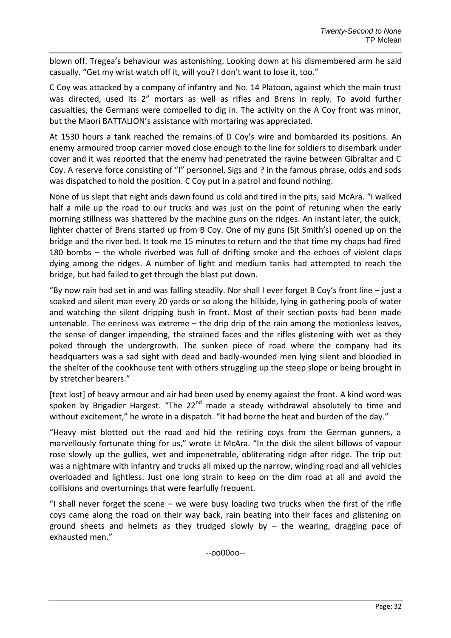blown off. Tregea's behaviour was astonishing. Looking down at his dismembered arm he said casually. "Get my wrist watch off it, will you? I don't want to lose it, too."

C Coy was attacked by a company of infantry and No. 14 Platoon, against which the main trust was directed, used its 2" mortars as well as rifles and Brens in reply. To avoid further casualties, the Germans were compelled to dig in. The activity on the A Coy front was minor, but the Maori BATTALION's assistance with mortaring was appreciated.

At 1530 hours a tank reached the remains of D Coy's wire and bombarded its positions. An enemy armoured troop carrier moved close enough to the line for soldiers to disembark under cover and it was reported that the enemy had penetrated the ravine between Gibraltar and C Coy. A reserve force consisting of "I" personnel, Sigs and ? in the famous phrase, odds and sods was dispatched to hold the position. C Coy put in a patrol and found nothing.

None of us slept that night ands dawn found us cold and tired in the pits, said McAra. "I walked half a mile up the road to our trucks and was just on the point of retuning when the early morning stillness was shattered by the machine guns on the ridges. An instant later, the quick, lighter chatter of Brens started up from B Coy. One of my guns (Sit Smith's) opened up on the bridge and the river bed. It took me 15 minutes to return and the that time my chaps had fired 180 bombs – the whole riverbed was full of drifting smoke and the echoes of violent claps dying among the ridges. A number of light and medium tanks had attempted to reach the bridge, but had failed to get through the blast put down.

"By now rain had set in and was falling steadily. Nor shall I ever forget B Coy's front line – just a soaked and silent man every 20 yards or so along the hillside, lying in gathering pools of water and watching the silent dripping bush in front. Most of their section posts had been made untenable. The eeriness was extreme – the drip drip of the rain among the motionless leaves, the sense of danger impending, the strained faces and the rifles glistening with wet as they poked through the undergrowth. The sunken piece of road where the company had its headquarters was a sad sight with dead and badly-wounded men lying silent and bloodied in the shelter of the cookhouse tent with others struggling up the steep slope or being brought in by stretcher bearers."

[text lost] of heavy armour and air had been used by enemy against the front. A kind word was spoken by Brigadier Hargest. "The 22<sup>nd</sup> made a steady withdrawal absolutely to time and without excitement," he wrote in a dispatch. "It had borne the heat and burden of the day."

"Heavy mist blotted out the road and hid the retiring coys from the German gunners, a marvellously fortunate thing for us," wrote Lt McAra. "In the disk the silent billows of vapour rose slowly up the gullies, wet and impenetrable, obliterating ridge after ridge. The trip out was a nightmare with infantry and trucks all mixed up the narrow, winding road and all vehicles overloaded and lightless. Just one long strain to keep on the dim road at all and avoid the collisions and overturnings that were fearfully frequent.

"I shall never forget the scene – we were busy loading two trucks when the first of the rifle coys came along the road on their way back, rain beating into their faces and glistening on ground sheets and helmets as they trudged slowly by  $-$  the wearing, dragging pace of exhausted men."

--oo00oo--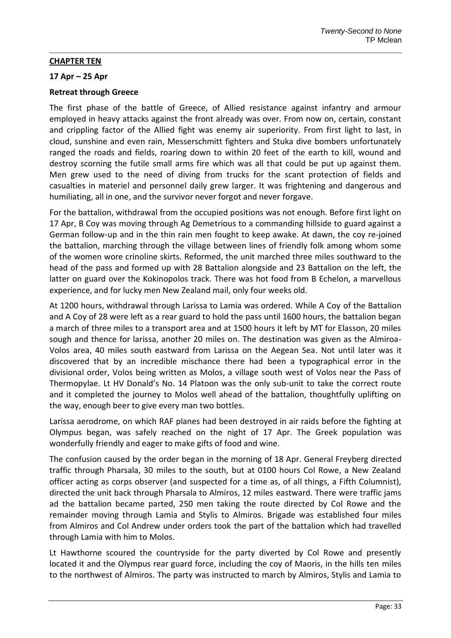## **CHAPTER TEN**

## **17 Apr – 25 Apr**

## **Retreat through Greece**

The first phase of the battle of Greece, of Allied resistance against infantry and armour employed in heavy attacks against the front already was over. From now on, certain, constant and crippling factor of the Allied fight was enemy air superiority. From first light to last, in cloud, sunshine and even rain, Messerschmitt fighters and Stuka dive bombers unfortunately ranged the roads and fields, roaring down to within 20 feet of the earth to kill, wound and destroy scorning the futile small arms fire which was all that could be put up against them. Men grew used to the need of diving from trucks for the scant protection of fields and casualties in materiel and personnel daily grew larger. It was frightening and dangerous and humiliating, all in one, and the survivor never forgot and never forgave.

For the battalion, withdrawal from the occupied positions was not enough. Before first light on 17 Apr, B Coy was moving through Ag Demetrious to a commanding hillside to guard against a German follow-up and in the thin rain men fought to keep awake. At dawn, the coy re-joined the battalion, marching through the village between lines of friendly folk among whom some of the women wore crinoline skirts. Reformed, the unit marched three miles southward to the head of the pass and formed up with 28 Battalion alongside and 23 Battalion on the left, the latter on guard over the Kokinopolos track. There was hot food from B Echelon, a marvellous experience, and for lucky men New Zealand mail, only four weeks old.

At 1200 hours, withdrawal through Larissa to Lamia was ordered. While A Coy of the Battalion and A Coy of 28 were left as a rear guard to hold the pass until 1600 hours, the battalion began a march of three miles to a transport area and at 1500 hours it left by MT for Elasson, 20 miles sough and thence for larissa, another 20 miles on. The destination was given as the Almiroa-Volos area, 40 miles south eastward from Larissa on the Aegean Sea. Not until later was it discovered that by an incredible mischance there had been a typographical error in the divisional order, Volos being written as Molos, a village south west of Volos near the Pass of Thermopylae. Lt HV Donald's No. 14 Platoon was the only sub-unit to take the correct route and it completed the journey to Molos well ahead of the battalion, thoughtfully uplifting on the way, enough beer to give every man two bottles.

Larissa aerodrome, on which RAF planes had been destroyed in air raids before the fighting at Olympus began, was safely reached on the night of 17 Apr. The Greek population was wonderfully friendly and eager to make gifts of food and wine.

The confusion caused by the order began in the morning of 18 Apr. General Freyberg directed traffic through Pharsala, 30 miles to the south, but at 0100 hours Col Rowe, a New Zealand officer acting as corps observer (and suspected for a time as, of all things, a Fifth Columnist), directed the unit back through Pharsala to Almiros, 12 miles eastward. There were traffic jams ad the battalion became parted, 250 men taking the route directed by Col Rowe and the remainder moving through Lamia and Stylis to Almiros. Brigade was established four miles from Almiros and Col Andrew under orders took the part of the battalion which had travelled through Lamia with him to Molos.

Lt Hawthorne scoured the countryside for the party diverted by Col Rowe and presently located it and the Olympus rear guard force, including the coy of Maoris, in the hills ten miles to the northwest of Almiros. The party was instructed to march by Almiros, Stylis and Lamia to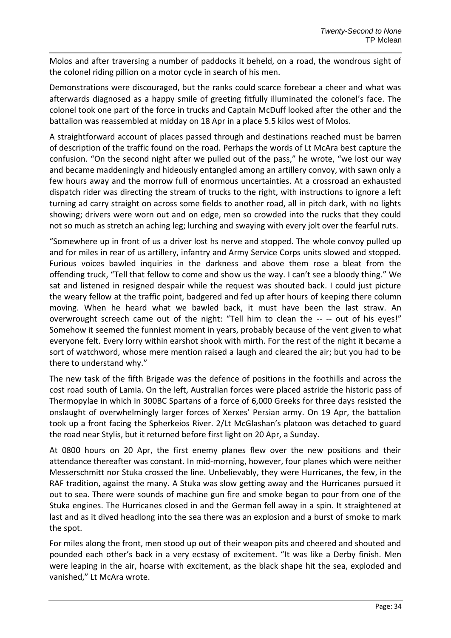Molos and after traversing a number of paddocks it beheld, on a road, the wondrous sight of the colonel riding pillion on a motor cycle in search of his men.

Demonstrations were discouraged, but the ranks could scarce forebear a cheer and what was afterwards diagnosed as a happy smile of greeting fitfully illuminated the colonel's face. The colonel took one part of the force in trucks and Captain McDuff looked after the other and the battalion was reassembled at midday on 18 Apr in a place 5.5 kilos west of Molos.

A straightforward account of places passed through and destinations reached must be barren of description of the traffic found on the road. Perhaps the words of Lt McAra best capture the confusion. "On the second night after we pulled out of the pass," he wrote, "we lost our way and became maddeningly and hideously entangled among an artillery convoy, with sawn only a few hours away and the morrow full of enormous uncertainties. At a crossroad an exhausted dispatch rider was directing the stream of trucks to the right, with instructions to ignore a left turning ad carry straight on across some fields to another road, all in pitch dark, with no lights showing; drivers were worn out and on edge, men so crowded into the rucks that they could not so much as stretch an aching leg; lurching and swaying with every jolt over the fearful ruts.

"Somewhere up in front of us a driver lost hs nerve and stopped. The whole convoy pulled up and for miles in rear of us artillery, infantry and Army Service Corps units slowed and stopped. Furious voices bawled inquiries in the darkness and above them rose a bleat from the offending truck, "Tell that fellow to come and show us the way. I can't see a bloody thing." We sat and listened in resigned despair while the request was shouted back. I could just picture the weary fellow at the traffic point, badgered and fed up after hours of keeping there column moving. When he heard what we bawled back, it must have been the last straw. An overwrought screech came out of the night: "Tell him to clean the -- -- out of his eyes!" Somehow it seemed the funniest moment in years, probably because of the vent given to what everyone felt. Every lorry within earshot shook with mirth. For the rest of the night it became a sort of watchword, whose mere mention raised a laugh and cleared the air; but you had to be there to understand why."

The new task of the fifth Brigade was the defence of positions in the foothills and across the cost road south of Lamia. On the left, Australian forces were placed astride the historic pass of Thermopylae in which in 300BC Spartans of a force of 6,000 Greeks for three days resisted the onslaught of overwhelmingly larger forces of Xerxes' Persian army. On 19 Apr, the battalion took up a front facing the Spherkeios River. 2/Lt McGlashan's platoon was detached to guard the road near Stylis, but it returned before first light on 20 Apr, a Sunday.

At 0800 hours on 20 Apr, the first enemy planes flew over the new positions and their attendance thereafter was constant. In mid-morning, however, four planes which were neither Messerschmitt nor Stuka crossed the line. Unbelievably, they were Hurricanes, the few, in the RAF tradition, against the many. A Stuka was slow getting away and the Hurricanes pursued it out to sea. There were sounds of machine gun fire and smoke began to pour from one of the Stuka engines. The Hurricanes closed in and the German fell away in a spin. It straightened at last and as it dived headlong into the sea there was an explosion and a burst of smoke to mark the spot.

For miles along the front, men stood up out of their weapon pits and cheered and shouted and pounded each other's back in a very ecstasy of excitement. "It was like a Derby finish. Men were leaping in the air, hoarse with excitement, as the black shape hit the sea, exploded and vanished," Lt McAra wrote.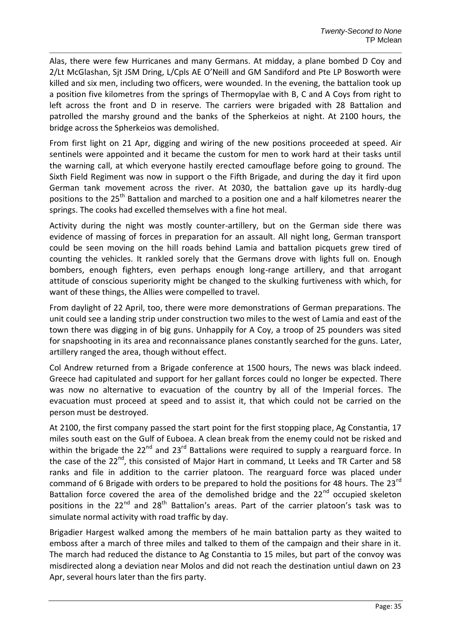Alas, there were few Hurricanes and many Germans. At midday, a plane bombed D Coy and 2/Lt McGlashan, Sjt JSM Dring, L/Cpls AE O'Neill and GM Sandiford and Pte LP Bosworth were killed and six men, including two officers, were wounded. In the evening, the battalion took up a position five kilometres from the springs of Thermopylae with B, C and A Coys from right to left across the front and D in reserve. The carriers were brigaded with 28 Battalion and patrolled the marshy ground and the banks of the Spherkeios at night. At 2100 hours, the bridge across the Spherkeios was demolished.

From first light on 21 Apr, digging and wiring of the new positions proceeded at speed. Air sentinels were appointed and it became the custom for men to work hard at their tasks until the warning call, at which everyone hastily erected camouflage before going to ground. The Sixth Field Regiment was now in support o the Fifth Brigade, and during the day it fird upon German tank movement across the river. At 2030, the battalion gave up its hardly-dug positions to the 25<sup>th</sup> Battalion and marched to a position one and a half kilometres nearer the springs. The cooks had excelled themselves with a fine hot meal.

Activity during the night was mostly counter-artillery, but on the German side there was evidence of massing of forces in preparation for an assault. All night long, German transport could be seen moving on the hill roads behind Lamia and battalion picquets grew tired of counting the vehicles. It rankled sorely that the Germans drove with lights full on. Enough bombers, enough fighters, even perhaps enough long-range artillery, and that arrogant attitude of conscious superiority might be changed to the skulking furtiveness with which, for want of these things, the Allies were compelled to travel.

From daylight of 22 April, too, there were more demonstrations of German preparations. The unit could see a landing strip under construction two miles to the west of Lamia and east of the town there was digging in of big guns. Unhappily for A Coy, a troop of 25 pounders was sited for snapshooting in its area and reconnaissance planes constantly searched for the guns. Later, artillery ranged the area, though without effect.

Col Andrew returned from a Brigade conference at 1500 hours, The news was black indeed. Greece had capitulated and support for her gallant forces could no longer be expected. There was now no alternative to evacuation of the country by all of the Imperial forces. The evacuation must proceed at speed and to assist it, that which could not be carried on the person must be destroyed.

At 2100, the first company passed the start point for the first stopping place, Ag Constantia, 17 miles south east on the Gulf of Euboea. A clean break from the enemy could not be risked and within the brigade the  $22^{nd}$  and  $23^{rd}$  Battalions were required to supply a rearguard force. In the case of the 22<sup>nd</sup>, this consisted of Major Hart in command, Lt Leeks and TR Carter and 58 ranks and file in addition to the carrier platoon. The rearguard force was placed under command of 6 Brigade with orders to be prepared to hold the positions for 48 hours. The 23<sup>rd</sup> Battalion force covered the area of the demolished bridge and the 22<sup>nd</sup> occupied skeleton positions in the 22<sup>nd</sup> and 28<sup>th</sup> Battalion's areas. Part of the carrier platoon's task was to simulate normal activity with road traffic by day.

Brigadier Hargest walked among the members of he main battalion party as they waited to emboss after a march of three miles and talked to them of the campaign and their share in it. The march had reduced the distance to Ag Constantia to 15 miles, but part of the convoy was misdirected along a deviation near Molos and did not reach the destination untiul dawn on 23 Apr, several hours later than the firs party.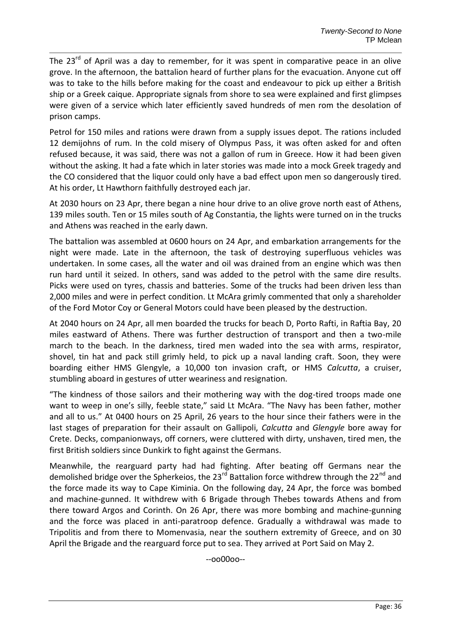The 23<sup>rd</sup> of April was a day to remember, for it was spent in comparative peace in an olive grove. In the afternoon, the battalion heard of further plans for the evacuation. Anyone cut off was to take to the hills before making for the coast and endeavour to pick up either a British ship or a Greek caique. Appropriate signals from shore to sea were explained and first glimpses were given of a service which later efficiently saved hundreds of men rom the desolation of prison camps.

Petrol for 150 miles and rations were drawn from a supply issues depot. The rations included 12 demijohns of rum. In the cold misery of Olympus Pass, it was often asked for and often refused because, it was said, there was not a gallon of rum in Greece. How it had been given without the asking. It had a fate which in later stories was made into a mock Greek tragedy and the CO considered that the liquor could only have a bad effect upon men so dangerously tired. At his order, Lt Hawthorn faithfully destroyed each jar.

At 2030 hours on 23 Apr, there began a nine hour drive to an olive grove north east of Athens, 139 miles south. Ten or 15 miles south of Ag Constantia, the lights were turned on in the trucks and Athens was reached in the early dawn.

The battalion was assembled at 0600 hours on 24 Apr, and embarkation arrangements for the night were made. Late in the afternoon, the task of destroying superfluous vehicles was undertaken. In some cases, all the water and oil was drained from an engine which was then run hard until it seized. In others, sand was added to the petrol with the same dire results. Picks were used on tyres, chassis and batteries. Some of the trucks had been driven less than 2,000 miles and were in perfect condition. Lt McAra grimly commented that only a shareholder of the Ford Motor Coy or General Motors could have been pleased by the destruction.

At 2040 hours on 24 Apr, all men boarded the trucks for beach D, Porto Rafti, in Raftia Bay, 20 miles eastward of Athens. There was further destruction of transport and then a two-mile march to the beach. In the darkness, tired men waded into the sea with arms, respirator, shovel, tin hat and pack still grimly held, to pick up a naval landing craft. Soon, they were boarding either HMS Glengyle, a 10,000 ton invasion craft, or HMS *Calcutta*, a cruiser, stumbling aboard in gestures of utter weariness and resignation.

"The kindness of those sailors and their mothering way with the dog-tired troops made one want to weep in one's silly, feeble state," said Lt McAra. "The Navy has been father, mother and all to us." At 0400 hours on 25 April, 26 years to the hour since their fathers were in the last stages of preparation for their assault on Gallipoli, *Calcutta* and *Glengyle* bore away for Crete. Decks, companionways, off corners, were cluttered with dirty, unshaven, tired men, the first British soldiers since Dunkirk to fight against the Germans.

Meanwhile, the rearguard party had had fighting. After beating off Germans near the demolished bridge over the Spherkeios, the 23<sup>rd</sup> Battalion force withdrew through the 22<sup>nd</sup> and the force made its way to Cape Kiminia. On the following day, 24 Apr, the force was bombed and machine-gunned. It withdrew with 6 Brigade through Thebes towards Athens and from there toward Argos and Corinth. On 26 Apr, there was more bombing and machine-gunning and the force was placed in anti-paratroop defence. Gradually a withdrawal was made to Tripolitis and from there to Momenvasia, near the southern extremity of Greece, and on 30 April the Brigade and the rearguard force put to sea. They arrived at Port Said on May 2.

--oo00oo--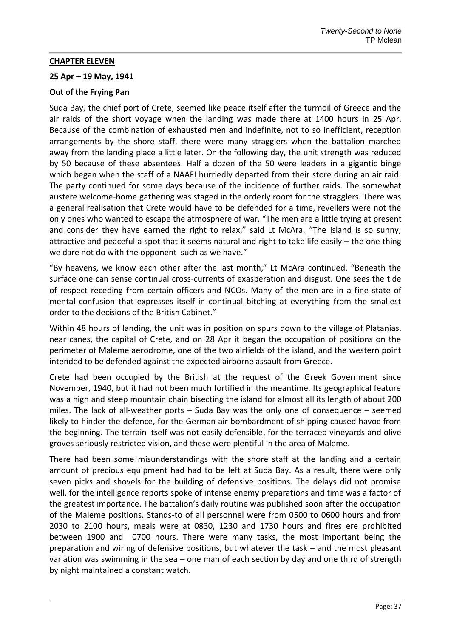### **CHAPTER ELEVEN**

## **25 Apr – 19 May, 1941**

# **Out of the Frying Pan**

Suda Bay, the chief port of Crete, seemed like peace itself after the turmoil of Greece and the air raids of the short voyage when the landing was made there at 1400 hours in 25 Apr. Because of the combination of exhausted men and indefinite, not to so inefficient, reception arrangements by the shore staff, there were many stragglers when the battalion marched away from the landing place a little later. On the following day, the unit strength was reduced by 50 because of these absentees. Half a dozen of the 50 were leaders in a gigantic binge which began when the staff of a NAAFI hurriedly departed from their store during an air raid. The party continued for some days because of the incidence of further raids. The somewhat austere welcome-home gathering was staged in the orderly room for the stragglers. There was a general realisation that Crete would have to be defended for a time, revellers were not the only ones who wanted to escape the atmosphere of war. "The men are a little trying at present and consider they have earned the right to relax," said Lt McAra. "The island is so sunny, attractive and peaceful a spot that it seems natural and right to take life easily – the one thing we dare not do with the opponent such as we have."

"By heavens, we know each other after the last month," Lt McAra continued. "Beneath the surface one can sense continual cross-currents of exasperation and disgust. One sees the tide of respect receding from certain officers and NCOs. Many of the men are in a fine state of mental confusion that expresses itself in continual bitching at everything from the smallest order to the decisions of the British Cabinet."

Within 48 hours of landing, the unit was in position on spurs down to the village of Platanias, near canes, the capital of Crete, and on 28 Apr it began the occupation of positions on the perimeter of Maleme aerodrome, one of the two airfields of the island, and the western point intended to be defended against the expected airborne assault from Greece.

Crete had been occupied by the British at the request of the Greek Government since November, 1940, but it had not been much fortified in the meantime. Its geographical feature was a high and steep mountain chain bisecting the island for almost all its length of about 200 miles. The lack of all-weather ports – Suda Bay was the only one of consequence – seemed likely to hinder the defence, for the German air bombardment of shipping caused havoc from the beginning. The terrain itself was not easily defensible, for the terraced vineyards and olive groves seriously restricted vision, and these were plentiful in the area of Maleme.

There had been some misunderstandings with the shore staff at the landing and a certain amount of precious equipment had had to be left at Suda Bay. As a result, there were only seven picks and shovels for the building of defensive positions. The delays did not promise well, for the intelligence reports spoke of intense enemy preparations and time was a factor of the greatest importance. The battalion's daily routine was published soon after the occupation of the Maleme positions. Stands-to of all personnel were from 0500 to 0600 hours and from 2030 to 2100 hours, meals were at 0830, 1230 and 1730 hours and fires ere prohibited between 1900 and 0700 hours. There were many tasks, the most important being the preparation and wiring of defensive positions, but whatever the task – and the most pleasant variation was swimming in the sea – one man of each section by day and one third of strength by night maintained a constant watch.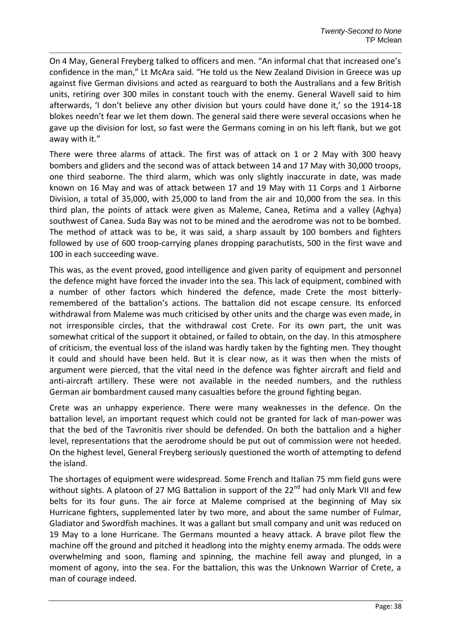On 4 May, General Freyberg talked to officers and men. "An informal chat that increased one's confidence in the man," Lt McAra said. "He told us the New Zealand Division in Greece was up against five German divisions and acted as rearguard to both the Australians and a few British units, retiring over 300 miles in constant touch with the enemy. General Wavell said to him afterwards, 'I don't believe any other division but yours could have done it,' so the 1914-18 blokes needn't fear we let them down. The general said there were several occasions when he gave up the division for lost, so fast were the Germans coming in on his left flank, but we got away with it."

There were three alarms of attack. The first was of attack on 1 or 2 May with 300 heavy bombers and gliders and the second was of attack between 14 and 17 May with 30,000 troops, one third seaborne. The third alarm, which was only slightly inaccurate in date, was made known on 16 May and was of attack between 17 and 19 May with 11 Corps and 1 Airborne Division, a total of 35,000, with 25,000 to land from the air and 10,000 from the sea. In this third plan, the points of attack were given as Maleme, Canea, Retima and a valley (Aghya) southwest of Canea. Suda Bay was not to be mined and the aerodrome was not to be bombed. The method of attack was to be, it was said, a sharp assault by 100 bombers and fighters followed by use of 600 troop-carrying planes dropping parachutists, 500 in the first wave and 100 in each succeeding wave.

This was, as the event proved, good intelligence and given parity of equipment and personnel the defence might have forced the invader into the sea. This lack of equipment, combined with a number of other factors which hindered the defence, made Crete the most bitterlyremembered of the battalion's actions. The battalion did not escape censure. Its enforced withdrawal from Maleme was much criticised by other units and the charge was even made, in not irresponsible circles, that the withdrawal cost Crete. For its own part, the unit was somewhat critical of the support it obtained, or failed to obtain, on the day. In this atmosphere of criticism, the eventual loss of the island was hardly taken by the fighting men. They thought it could and should have been held. But it is clear now, as it was then when the mists of argument were pierced, that the vital need in the defence was fighter aircraft and field and anti-aircraft artillery. These were not available in the needed numbers, and the ruthless German air bombardment caused many casualties before the ground fighting began.

Crete was an unhappy experience. There were many weaknesses in the defence. On the battalion level, an important request which could not be granted for lack of man-power was that the bed of the Tavronitis river should be defended. On both the battalion and a higher level, representations that the aerodrome should be put out of commission were not heeded. On the highest level, General Freyberg seriously questioned the worth of attempting to defend the island.

The shortages of equipment were widespread. Some French and Italian 75 mm field guns were without sights. A platoon of 27 MG Battalion in support of the 22<sup>nd</sup> had only Mark VII and few belts for its four guns. The air force at Maleme comprised at the beginning of May six Hurricane fighters, supplemented later by two more, and about the same number of Fulmar, Gladiator and Swordfish machines. It was a gallant but small company and unit was reduced on 19 May to a lone Hurricane. The Germans mounted a heavy attack. A brave pilot flew the machine off the ground and pitched it headlong into the mighty enemy armada. The odds were overwhelming and soon, flaming and spinning, the machine fell away and plunged, in a moment of agony, into the sea. For the battalion, this was the Unknown Warrior of Crete, a man of courage indeed.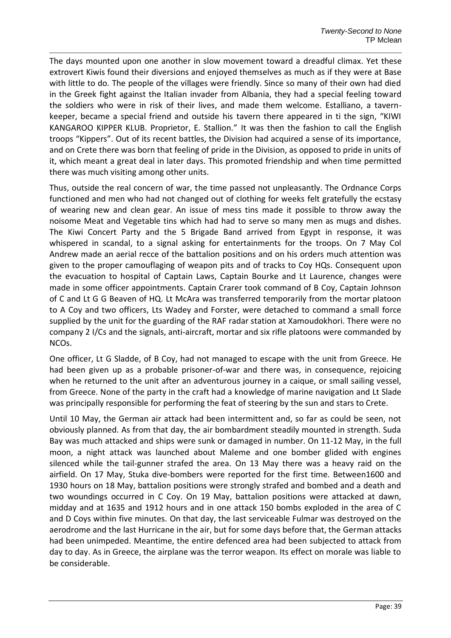The days mounted upon one another in slow movement toward a dreadful climax. Yet these extrovert Kiwis found their diversions and enjoyed themselves as much as if they were at Base with little to do. The people of the villages were friendly. Since so many of their own had died in the Greek fight against the Italian invader from Albania, they had a special feeling toward the soldiers who were in risk of their lives, and made them welcome. Estalliano, a tavernkeeper, became a special friend and outside his tavern there appeared in ti the sign, "KIWI KANGAROO KIPPER KLUB. Proprietor, E. Stallion." It was then the fashion to call the English troops "Kippers". Out of its recent battles, the Division had acquired a sense of its importance, and on Crete there was born that feeling of pride in the Division, as opposed to pride in units of it, which meant a great deal in later days. This promoted friendship and when time permitted there was much visiting among other units.

Thus, outside the real concern of war, the time passed not unpleasantly. The Ordnance Corps functioned and men who had not changed out of clothing for weeks felt gratefully the ecstasy of wearing new and clean gear. An issue of mess tins made it possible to throw away the noisome Meat and Vegetable tins which had had to serve so many men as mugs and dishes. The Kiwi Concert Party and the 5 Brigade Band arrived from Egypt in response, it was whispered in scandal, to a signal asking for entertainments for the troops. On 7 May Col Andrew made an aerial recce of the battalion positions and on his orders much attention was given to the proper camouflaging of weapon pits and of tracks to Coy HQs. Consequent upon the evacuation to hospital of Captain Laws, Captain Bourke and Lt Laurence, changes were made in some officer appointments. Captain Crarer took command of B Coy, Captain Johnson of C and Lt G G Beaven of HQ. Lt McAra was transferred temporarily from the mortar platoon to A Coy and two officers, Lts Wadey and Forster, were detached to command a small force supplied by the unit for the guarding of the RAF radar station at Xamoudokhori. There were no company 2 I/Cs and the signals, anti-aircraft, mortar and six rifle platoons were commanded by NCOs.

One officer, Lt G Sladde, of B Coy, had not managed to escape with the unit from Greece. He had been given up as a probable prisoner-of-war and there was, in consequence, rejoicing when he returned to the unit after an adventurous journey in a caique, or small sailing vessel, from Greece. None of the party in the craft had a knowledge of marine navigation and Lt Slade was principally responsible for performing the feat of steering by the sun and stars to Crete.

Until 10 May, the German air attack had been intermittent and, so far as could be seen, not obviously planned. As from that day, the air bombardment steadily mounted in strength. Suda Bay was much attacked and ships were sunk or damaged in number. On 11-12 May, in the full moon, a night attack was launched about Maleme and one bomber glided with engines silenced while the tail-gunner strafed the area. On 13 May there was a heavy raid on the airfield. On 17 May, Stuka dive-bombers were reported for the first time. Between1600 and 1930 hours on 18 May, battalion positions were strongly strafed and bombed and a death and two woundings occurred in C Coy. On 19 May, battalion positions were attacked at dawn, midday and at 1635 and 1912 hours and in one attack 150 bombs exploded in the area of C and D Coys within five minutes. On that day, the last serviceable Fulmar was destroyed on the aerodrome and the last Hurricane in the air, but for some days before that, the German attacks had been unimpeded. Meantime, the entire defenced area had been subjected to attack from day to day. As in Greece, the airplane was the terror weapon. Its effect on morale was liable to be considerable.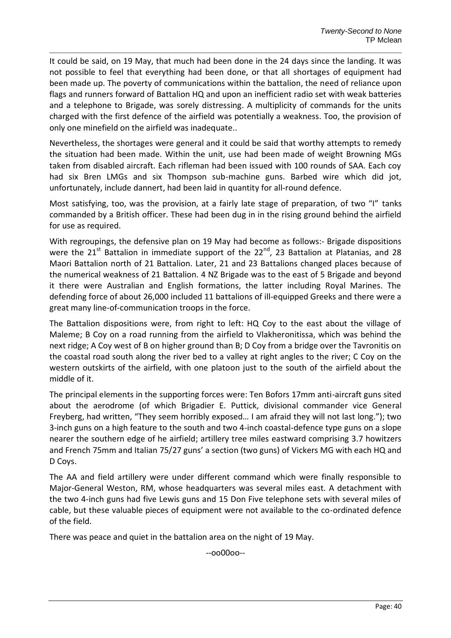It could be said, on 19 May, that much had been done in the 24 days since the landing. It was not possible to feel that everything had been done, or that all shortages of equipment had been made up. The poverty of communications within the battalion, the need of reliance upon flags and runners forward of Battalion HQ and upon an inefficient radio set with weak batteries and a telephone to Brigade, was sorely distressing. A multiplicity of commands for the units charged with the first defence of the airfield was potentially a weakness. Too, the provision of only one minefield on the airfield was inadequate..

Nevertheless, the shortages were general and it could be said that worthy attempts to remedy the situation had been made. Within the unit, use had been made of weight Browning MGs taken from disabled aircraft. Each rifleman had been issued with 100 rounds of SAA. Each coy had six Bren LMGs and six Thompson sub-machine guns. Barbed wire which did jot, unfortunately, include dannert, had been laid in quantity for all-round defence.

Most satisfying, too, was the provision, at a fairly late stage of preparation, of two "I" tanks commanded by a British officer. These had been dug in in the rising ground behind the airfield for use as required.

With regroupings, the defensive plan on 19 May had become as follows:- Brigade dispositions were the 21<sup>st</sup> Battalion in immediate support of the 22<sup>nd</sup>, 23 Battalion at Platanias, and 28 Maori Battalion north of 21 Battalion. Later, 21 and 23 Battalions changed places because of the numerical weakness of 21 Battalion. 4 NZ Brigade was to the east of 5 Brigade and beyond it there were Australian and English formations, the latter including Royal Marines. The defending force of about 26,000 included 11 battalions of ill-equipped Greeks and there were a great many line-of-communication troops in the force.

The Battalion dispositions were, from right to left: HQ Coy to the east about the village of Maleme; B Coy on a road running from the airfield to Vlakheronitissa, which was behind the next ridge; A Coy west of B on higher ground than B; D Coy from a bridge over the Tavronitis on the coastal road south along the river bed to a valley at right angles to the river; C Coy on the western outskirts of the airfield, with one platoon just to the south of the airfield about the middle of it.

The principal elements in the supporting forces were: Ten Bofors 17mm anti-aircraft guns sited about the aerodrome (of which Brigadier E. Puttick, divisional commander vice General Freyberg, had written, "They seem horribly exposed… I am afraid they will not last long."); two 3-inch guns on a high feature to the south and two 4-inch coastal-defence type guns on a slope nearer the southern edge of he airfield; artillery tree miles eastward comprising 3.7 howitzers and French 75mm and Italian 75/27 guns' a section (two guns) of Vickers MG with each HQ and D Coys.

The AA and field artillery were under different command which were finally responsible to Major-General Weston, RM, whose headquarters was several miles east. A detachment with the two 4-inch guns had five Lewis guns and 15 Don Five telephone sets with several miles of cable, but these valuable pieces of equipment were not available to the co-ordinated defence of the field.

There was peace and quiet in the battalion area on the night of 19 May.

--oo00oo--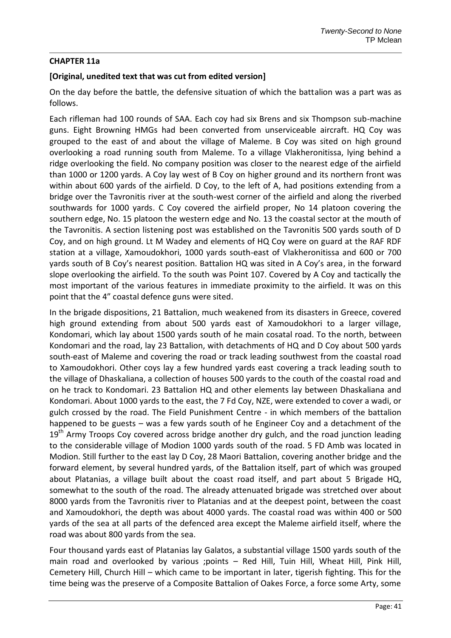# **CHAPTER 11a**

# **[Original, unedited text that was cut from edited version]**

On the day before the battle, the defensive situation of which the battalion was a part was as follows.

Each rifleman had 100 rounds of SAA. Each coy had six Brens and six Thompson sub-machine guns. Eight Browning HMGs had been converted from unserviceable aircraft. HQ Coy was grouped to the east of and about the village of Maleme. B Coy was sited on high ground overlooking a road running south from Maleme. To a village Vlakheronitissa, lying behind a ridge overlooking the field. No company position was closer to the nearest edge of the airfield than 1000 or 1200 yards. A Coy lay west of B Coy on higher ground and its northern front was within about 600 yards of the airfield. D Coy, to the left of A, had positions extending from a bridge over the Tavronitis river at the south-west corner of the airfield and along the riverbed southwards for 1000 yards. C Coy covered the airfield proper, No 14 platoon covering the southern edge, No. 15 platoon the western edge and No. 13 the coastal sector at the mouth of the Tavronitis. A section listening post was established on the Tavronitis 500 yards south of D Coy, and on high ground. Lt M Wadey and elements of HQ Coy were on guard at the RAF RDF station at a village, Xamoudokhori, 1000 yards south-east of Vlakheronitissa and 600 or 700 yards south of B Coy's nearest position. Battalion HQ was sited in A Coy's area, in the forward slope overlooking the airfield. To the south was Point 107. Covered by A Coy and tactically the most important of the various features in immediate proximity to the airfield. It was on this point that the 4" coastal defence guns were sited.

In the brigade dispositions, 21 Battalion, much weakened from its disasters in Greece, covered high ground extending from about 500 yards east of Xamoudokhori to a larger village, Kondomari, which lay about 1500 yards south of he main cosatal road. To the north, between Kondomari and the road, lay 23 Battalion, with detachments of HQ and D Coy about 500 yards south-east of Maleme and covering the road or track leading southwest from the coastal road to Xamoudokhori. Other coys lay a few hundred yards east covering a track leading south to the village of Dhaskaliana, a collection of houses 500 yards to the couth of the coastal road and on he track to Kondomari. 23 Battalion HQ and other elements lay between Dhaskaliana and Kondomari. About 1000 yards to the east, the 7 Fd Coy, NZE, were extended to cover a wadi, or gulch crossed by the road. The Field Punishment Centre - in which members of the battalion happened to be guests – was a few yards south of he Engineer Coy and a detachment of the  $19<sup>th</sup>$  Army Troops Coy covered across bridge another dry gulch, and the road junction leading to the considerable village of Modion 1000 yards south of the road. 5 FD Amb was located in Modion. Still further to the east lay D Coy, 28 Maori Battalion, covering another bridge and the forward element, by several hundred yards, of the Battalion itself, part of which was grouped about Platanias, a village built about the coast road itself, and part about 5 Brigade HQ, somewhat to the south of the road. The already attenuated brigade was stretched over about 8000 yards from the Tavronitis river to Platanias and at the deepest point, between the coast and Xamoudokhori, the depth was about 4000 yards. The coastal road was within 400 or 500 yards of the sea at all parts of the defenced area except the Maleme airfield itself, where the road was about 800 yards from the sea.

Four thousand yards east of Platanias lay Galatos, a substantial village 1500 yards south of the main road and overlooked by various ;points – Red Hill, Tuin Hill, Wheat Hill, Pink Hill, Cemetery Hill, Church Hill – which came to be important in later, tigerish fighting. This for the time being was the preserve of a Composite Battalion of Oakes Force, a force some Arty, some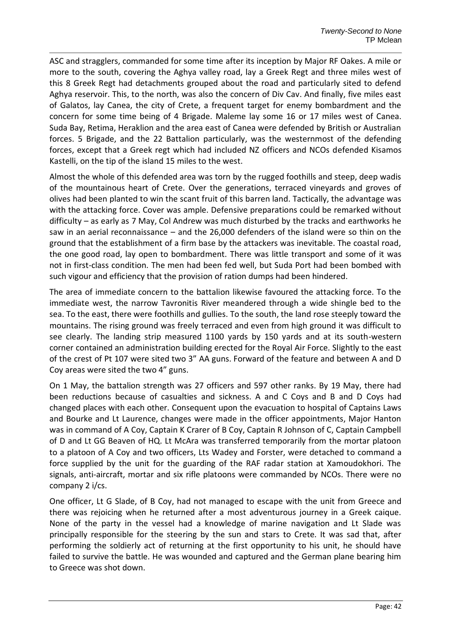ASC and stragglers, commanded for some time after its inception by Major RF Oakes. A mile or more to the south, covering the Aghya valley road, lay a Greek Regt and three miles west of this 8 Greek Regt had detachments grouped about the road and particularly sited to defend Aghya reservoir. This, to the north, was also the concern of Div Cav. And finally, five miles east of Galatos, lay Canea, the city of Crete, a frequent target for enemy bombardment and the concern for some time being of 4 Brigade. Maleme lay some 16 or 17 miles west of Canea. Suda Bay, Retima, Heraklion and the area east of Canea were defended by British or Australian forces. 5 Brigade, and the 22 Battalion particularly, was the westernmost of the defending forces, except that a Greek regt which had included NZ officers and NCOs defended Kisamos Kastelli, on the tip of the island 15 miles to the west.

Almost the whole of this defended area was torn by the rugged foothills and steep, deep wadis of the mountainous heart of Crete. Over the generations, terraced vineyards and groves of olives had been planted to win the scant fruit of this barren land. Tactically, the advantage was with the attacking force. Cover was ample. Defensive preparations could be remarked without difficulty – as early as 7 May, Col Andrew was much disturbed by the tracks and earthworks he saw in an aerial reconnaissance – and the 26,000 defenders of the island were so thin on the ground that the establishment of a firm base by the attackers was inevitable. The coastal road, the one good road, lay open to bombardment. There was little transport and some of it was not in first-class condition. The men had been fed well, but Suda Port had been bombed with such vigour and efficiency that the provision of ration dumps had been hindered.

The area of immediate concern to the battalion likewise favoured the attacking force. To the immediate west, the narrow Tavronitis River meandered through a wide shingle bed to the sea. To the east, there were foothills and gullies. To the south, the land rose steeply toward the mountains. The rising ground was freely terraced and even from high ground it was difficult to see clearly. The landing strip measured 1100 yards by 150 yards and at its south-western corner contained an administration building erected for the Royal Air Force. Slightly to the east of the crest of Pt 107 were sited two 3" AA guns. Forward of the feature and between A and D Coy areas were sited the two 4" guns.

On 1 May, the battalion strength was 27 officers and 597 other ranks. By 19 May, there had been reductions because of casualties and sickness. A and C Coys and B and D Coys had changed places with each other. Consequent upon the evacuation to hospital of Captains Laws and Bourke and Lt Laurence, changes were made in the officer appointments, Major Hanton was in command of A Coy, Captain K Crarer of B Coy, Captain R Johnson of C, Captain Campbell of D and Lt GG Beaven of HQ. Lt McAra was transferred temporarily from the mortar platoon to a platoon of A Coy and two officers, Lts Wadey and Forster, were detached to command a force supplied by the unit for the guarding of the RAF radar station at Xamoudokhori. The signals, anti-aircraft, mortar and six rifle platoons were commanded by NCOs. There were no company 2 i/cs.

One officer, Lt G Slade, of B Coy, had not managed to escape with the unit from Greece and there was rejoicing when he returned after a most adventurous journey in a Greek caique. None of the party in the vessel had a knowledge of marine navigation and Lt Slade was principally responsible for the steering by the sun and stars to Crete. It was sad that, after performing the soldierly act of returning at the first opportunity to his unit, he should have failed to survive the battle. He was wounded and captured and the German plane bearing him to Greece was shot down.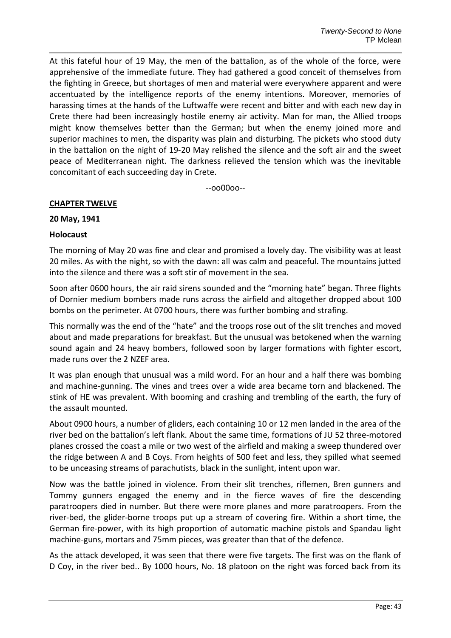At this fateful hour of 19 May, the men of the battalion, as of the whole of the force, were apprehensive of the immediate future. They had gathered a good conceit of themselves from the fighting in Greece, but shortages of men and material were everywhere apparent and were accentuated by the intelligence reports of the enemy intentions. Moreover, memories of harassing times at the hands of the Luftwaffe were recent and bitter and with each new day in Crete there had been increasingly hostile enemy air activity. Man for man, the Allied troops might know themselves better than the German; but when the enemy joined more and superior machines to men, the disparity was plain and disturbing. The pickets who stood duty in the battalion on the night of 19-20 May relished the silence and the soft air and the sweet peace of Mediterranean night. The darkness relieved the tension which was the inevitable concomitant of each succeeding day in Crete.

--oo00oo--

#### **CHAPTER TWELVE**

#### **20 May, 1941**

#### **Holocaust**

The morning of May 20 was fine and clear and promised a lovely day. The visibility was at least 20 miles. As with the night, so with the dawn: all was calm and peaceful. The mountains jutted into the silence and there was a soft stir of movement in the sea.

Soon after 0600 hours, the air raid sirens sounded and the "morning hate" began. Three flights of Dornier medium bombers made runs across the airfield and altogether dropped about 100 bombs on the perimeter. At 0700 hours, there was further bombing and strafing.

This normally was the end of the "hate" and the troops rose out of the slit trenches and moved about and made preparations for breakfast. But the unusual was betokened when the warning sound again and 24 heavy bombers, followed soon by larger formations with fighter escort, made runs over the 2 NZEF area.

It was plan enough that unusual was a mild word. For an hour and a half there was bombing and machine-gunning. The vines and trees over a wide area became torn and blackened. The stink of HE was prevalent. With booming and crashing and trembling of the earth, the fury of the assault mounted.

About 0900 hours, a number of gliders, each containing 10 or 12 men landed in the area of the river bed on the battalion's left flank. About the same time, formations of JU 52 three-motored planes crossed the coast a mile or two west of the airfield and making a sweep thundered over the ridge between A and B Coys. From heights of 500 feet and less, they spilled what seemed to be unceasing streams of parachutists, black in the sunlight, intent upon war.

Now was the battle joined in violence. From their slit trenches, riflemen, Bren gunners and Tommy gunners engaged the enemy and in the fierce waves of fire the descending paratroopers died in number. But there were more planes and more paratroopers. From the river-bed, the glider-borne troops put up a stream of covering fire. Within a short time, the German fire-power, with its high proportion of automatic machine pistols and Spandau light machine-guns, mortars and 75mm pieces, was greater than that of the defence.

As the attack developed, it was seen that there were five targets. The first was on the flank of D Coy, in the river bed.. By 1000 hours, No. 18 platoon on the right was forced back from its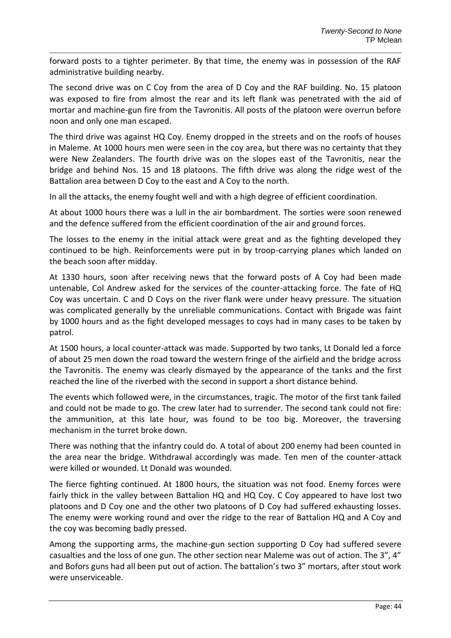forward posts to a tighter perimeter. By that time, the enemy was in possession of the RAF administrative building nearby.

The second drive was on C Coy from the area of D Coy and the RAF building. No. 15 platoon was exposed to fire from almost the rear and its left flank was penetrated with the aid of mortar and machine-gun fire from the Tavronitis. All posts of the platoon were overrun before noon and only one man escaped.

The third drive was against HQ Coy. Enemy dropped in the streets and on the roofs of houses in Maleme. At 1000 hours men were seen in the coy area, but there was no certainty that they were New Zealanders. The fourth drive was on the slopes east of the Tavronitis, near the bridge and behind Nos. 15 and 18 platoons. The fifth drive was along the ridge west of the Battalion area between D Coy to the east and A Coy to the north.

In all the attacks, the enemy fought well and with a high degree of efficient coordination.

At about 1000 hours there was a lull in the air bombardment. The sorties were soon renewed and the defence suffered from the efficient coordination of the air and ground forces.

The losses to the enemy in the initial attack were great and as the fighting developed they continued to be high. Reinforcements were put in by troop-carrying planes which landed on the beach soon after midday.

At 1330 hours, soon after receiving news that the forward posts of A Coy had been made untenable, Col Andrew asked for the services of the counter-attacking force. The fate of HQ Coy was uncertain. C and D Coys on the river flank were under heavy pressure. The situation was complicated generally by the unreliable communications. Contact with Brigade was faint by 1000 hours and as the fight developed messages to coys had in many cases to be taken by patrol.

At 1500 hours, a local counter-attack was made. Supported by two tanks, Lt Donald led a force of about 25 men down the road toward the western fringe of the airfield and the bridge across the Tavronitis. The enemy was clearly dismayed by the appearance of the tanks and the first reached the line of the riverbed with the second in support a short distance behind.

The events which followed were, in the circumstances, tragic. The motor of the first tank failed and could not be made to go. The crew later had to surrender. The second tank could not fire: the ammunition, at this late hour, was found to be too big. Moreover, the traversing mechanism in the turret broke down.

There was nothing that the infantry could do. A total of about 200 enemy had been counted in the area near the bridge. Withdrawal accordingly was made. Ten men of the counter-attack were killed or wounded. Lt Donald was wounded.

The fierce fighting continued. At 1800 hours, the situation was not food. Enemy forces were fairly thick in the valley between Battalion HQ and HQ Coy. C Coy appeared to have lost two platoons and D Coy one and the other two platoons of D Coy had suffered exhausting losses. The enemy were working round and over the ridge to the rear of Battalion HQ and A Coy and the coy was becoming badly pressed.

Among the supporting arms, the machine-gun section supporting D Coy had suffered severe casualties and the loss of one gun. The other section near Maleme was out of action. The 3", 4" and Bofors guns had all been put out of action. The battalion's two 3" mortars, after stout work were unserviceable.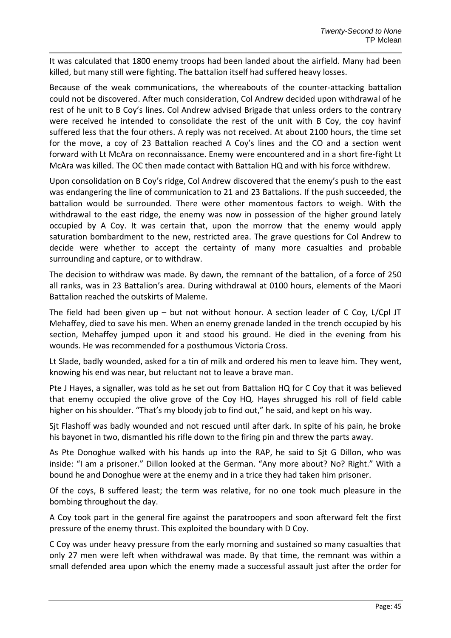It was calculated that 1800 enemy troops had been landed about the airfield. Many had been killed, but many still were fighting. The battalion itself had suffered heavy losses.

Because of the weak communications, the whereabouts of the counter-attacking battalion could not be discovered. After much consideration, Col Andrew decided upon withdrawal of he rest of he unit to B Coy's lines. Col Andrew advised Brigade that unless orders to the contrary were received he intended to consolidate the rest of the unit with B Coy, the coy havinf suffered less that the four others. A reply was not received. At about 2100 hours, the time set for the move, a coy of 23 Battalion reached A Coy's lines and the CO and a section went forward with Lt McAra on reconnaissance. Enemy were encountered and in a short fire-fight Lt McAra was killed. The OC then made contact with Battalion HQ and with his force withdrew.

Upon consolidation on B Coy's ridge, Col Andrew discovered that the enemy's push to the east was endangering the line of communication to 21 and 23 Battalions. If the push succeeded, the battalion would be surrounded. There were other momentous factors to weigh. With the withdrawal to the east ridge, the enemy was now in possession of the higher ground lately occupied by A Coy. It was certain that, upon the morrow that the enemy would apply saturation bombardment to the new, restricted area. The grave questions for Col Andrew to decide were whether to accept the certainty of many more casualties and probable surrounding and capture, or to withdraw.

The decision to withdraw was made. By dawn, the remnant of the battalion, of a force of 250 all ranks, was in 23 Battalion's area. During withdrawal at 0100 hours, elements of the Maori Battalion reached the outskirts of Maleme.

The field had been given up – but not without honour. A section leader of C Coy, L/Cpl JT Mehaffey, died to save his men. When an enemy grenade landed in the trench occupied by his section, Mehaffey jumped upon it and stood his ground. He died in the evening from his wounds. He was recommended for a posthumous Victoria Cross.

Lt Slade, badly wounded, asked for a tin of milk and ordered his men to leave him. They went, knowing his end was near, but reluctant not to leave a brave man.

Pte J Hayes, a signaller, was told as he set out from Battalion HQ for C Coy that it was believed that enemy occupied the olive grove of the Coy HQ. Hayes shrugged his roll of field cable higher on his shoulder. "That's my bloody job to find out," he said, and kept on his way.

Sjt Flashoff was badly wounded and not rescued until after dark. In spite of his pain, he broke his bayonet in two, dismantled his rifle down to the firing pin and threw the parts away.

As Pte Donoghue walked with his hands up into the RAP, he said to Sjt G Dillon, who was inside: "I am a prisoner." Dillon looked at the German. "Any more about? No? Right." With a bound he and Donoghue were at the enemy and in a trice they had taken him prisoner.

Of the coys, B suffered least; the term was relative, for no one took much pleasure in the bombing throughout the day.

A Coy took part in the general fire against the paratroopers and soon afterward felt the first pressure of the enemy thrust. This exploited the boundary with D Coy.

C Coy was under heavy pressure from the early morning and sustained so many casualties that only 27 men were left when withdrawal was made. By that time, the remnant was within a small defended area upon which the enemy made a successful assault just after the order for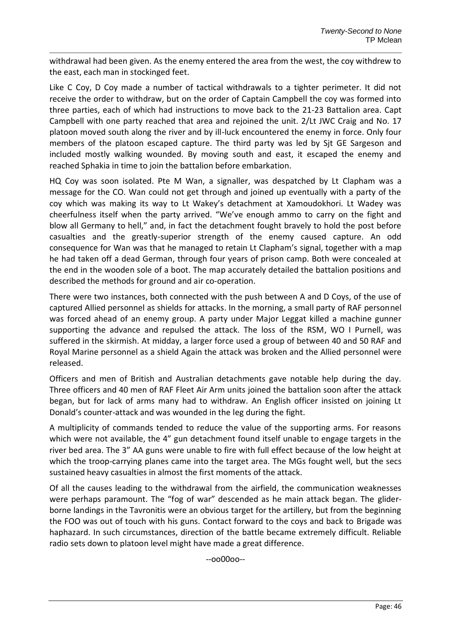withdrawal had been given. As the enemy entered the area from the west, the coy withdrew to the east, each man in stockinged feet.

Like C Coy, D Coy made a number of tactical withdrawals to a tighter perimeter. It did not receive the order to withdraw, but on the order of Captain Campbell the coy was formed into three parties, each of which had instructions to move back to the 21-23 Battalion area. Capt Campbell with one party reached that area and rejoined the unit. 2/Lt JWC Craig and No. 17 platoon moved south along the river and by ill-luck encountered the enemy in force. Only four members of the platoon escaped capture. The third party was led by Sjt GE Sargeson and included mostly walking wounded. By moving south and east, it escaped the enemy and reached Sphakia in time to join the battalion before embarkation.

HQ Coy was soon isolated. Pte M Wan, a signaller, was despatched by Lt Clapham was a message for the CO. Wan could not get through and joined up eventually with a party of the coy which was making its way to Lt Wakey's detachment at Xamoudokhori. Lt Wadey was cheerfulness itself when the party arrived. "We've enough ammo to carry on the fight and blow all Germany to hell," and, in fact the detachment fought bravely to hold the post before casualties and the greatly-superior strength of the enemy caused capture. An odd consequence for Wan was that he managed to retain Lt Clapham's signal, together with a map he had taken off a dead German, through four years of prison camp. Both were concealed at the end in the wooden sole of a boot. The map accurately detailed the battalion positions and described the methods for ground and air co-operation.

There were two instances, both connected with the push between A and D Coys, of the use of captured Allied personnel as shields for attacks. In the morning, a small party of RAF personnel was forced ahead of an enemy group. A party under Major Leggat killed a machine gunner supporting the advance and repulsed the attack. The loss of the RSM, WO I Purnell, was suffered in the skirmish. At midday, a larger force used a group of between 40 and 50 RAF and Royal Marine personnel as a shield Again the attack was broken and the Allied personnel were released.

Officers and men of British and Australian detachments gave notable help during the day. Three officers and 40 men of RAF Fleet Air Arm units joined the battalion soon after the attack began, but for lack of arms many had to withdraw. An English officer insisted on joining Lt Donald's counter-attack and was wounded in the leg during the fight.

A multiplicity of commands tended to reduce the value of the supporting arms. For reasons which were not available, the 4" gun detachment found itself unable to engage targets in the river bed area. The 3" AA guns were unable to fire with full effect because of the low height at which the troop-carrying planes came into the target area. The MGs fought well, but the secs sustained heavy casualties in almost the first moments of the attack.

Of all the causes leading to the withdrawal from the airfield, the communication weaknesses were perhaps paramount. The "fog of war" descended as he main attack began. The gliderborne landings in the Tavronitis were an obvious target for the artillery, but from the beginning the FOO was out of touch with his guns. Contact forward to the coys and back to Brigade was haphazard. In such circumstances, direction of the battle became extremely difficult. Reliable radio sets down to platoon level might have made a great difference.

--oo00oo--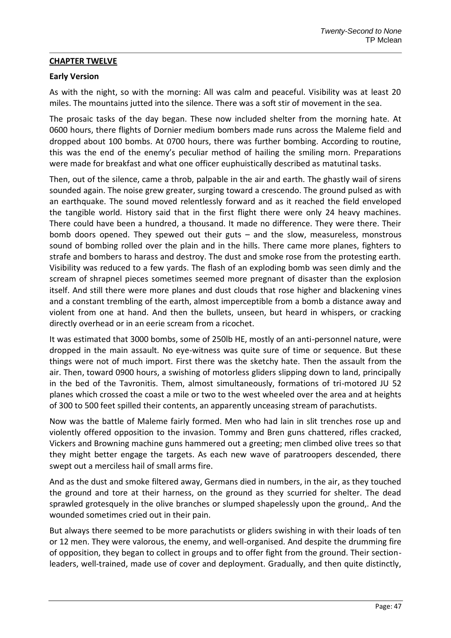## **CHAPTER TWELVE**

## **Early Version**

As with the night, so with the morning: All was calm and peaceful. Visibility was at least 20 miles. The mountains jutted into the silence. There was a soft stir of movement in the sea.

The prosaic tasks of the day began. These now included shelter from the morning hate. At 0600 hours, there flights of Dornier medium bombers made runs across the Maleme field and dropped about 100 bombs. At 0700 hours, there was further bombing. According to routine, this was the end of the enemy's peculiar method of hailing the smiling morn. Preparations were made for breakfast and what one officer euphuistically described as matutinal tasks.

Then, out of the silence, came a throb, palpable in the air and earth. The ghastly wail of sirens sounded again. The noise grew greater, surging toward a crescendo. The ground pulsed as with an earthquake. The sound moved relentlessly forward and as it reached the field enveloped the tangible world. History said that in the first flight there were only 24 heavy machines. There could have been a hundred, a thousand. It made no difference. They were there. Their bomb doors opened. They spewed out their guts – and the slow, measureless, monstrous sound of bombing rolled over the plain and in the hills. There came more planes, fighters to strafe and bombers to harass and destroy. The dust and smoke rose from the protesting earth. Visibility was reduced to a few yards. The flash of an exploding bomb was seen dimly and the scream of shrapnel pieces sometimes seemed more pregnant of disaster than the explosion itself. And still there were more planes and dust clouds that rose higher and blackening vines and a constant trembling of the earth, almost imperceptible from a bomb a distance away and violent from one at hand. And then the bullets, unseen, but heard in whispers, or cracking directly overhead or in an eerie scream from a ricochet.

It was estimated that 3000 bombs, some of 250lb HE, mostly of an anti-personnel nature, were dropped in the main assault. No eye-witness was quite sure of time or sequence. But these things were not of much import. First there was the sketchy hate. Then the assault from the air. Then, toward 0900 hours, a swishing of motorless gliders slipping down to land, principally in the bed of the Tavronitis. Them, almost simultaneously, formations of tri-motored JU 52 planes which crossed the coast a mile or two to the west wheeled over the area and at heights of 300 to 500 feet spilled their contents, an apparently unceasing stream of parachutists.

Now was the battle of Maleme fairly formed. Men who had lain in slit trenches rose up and violently offered opposition to the invasion. Tommy and Bren guns chattered, rifles cracked, Vickers and Browning machine guns hammered out a greeting; men climbed olive trees so that they might better engage the targets. As each new wave of paratroopers descended, there swept out a merciless hail of small arms fire.

And as the dust and smoke filtered away, Germans died in numbers, in the air, as they touched the ground and tore at their harness, on the ground as they scurried for shelter. The dead sprawled grotesquely in the olive branches or slumped shapelessly upon the ground,. And the wounded sometimes cried out in their pain.

But always there seemed to be more parachutists or gliders swishing in with their loads of ten or 12 men. They were valorous, the enemy, and well-organised. And despite the drumming fire of opposition, they began to collect in groups and to offer fight from the ground. Their sectionleaders, well-trained, made use of cover and deployment. Gradually, and then quite distinctly,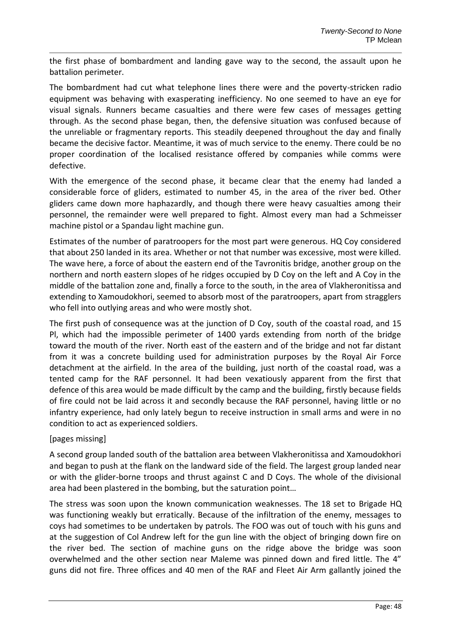the first phase of bombardment and landing gave way to the second, the assault upon he battalion perimeter.

The bombardment had cut what telephone lines there were and the poverty-stricken radio equipment was behaving with exasperating inefficiency. No one seemed to have an eye for visual signals. Runners became casualties and there were few cases of messages getting through. As the second phase began, then, the defensive situation was confused because of the unreliable or fragmentary reports. This steadily deepened throughout the day and finally became the decisive factor. Meantime, it was of much service to the enemy. There could be no proper coordination of the localised resistance offered by companies while comms were defective.

With the emergence of the second phase, it became clear that the enemy had landed a considerable force of gliders, estimated to number 45, in the area of the river bed. Other gliders came down more haphazardly, and though there were heavy casualties among their personnel, the remainder were well prepared to fight. Almost every man had a Schmeisser machine pistol or a Spandau light machine gun.

Estimates of the number of paratroopers for the most part were generous. HQ Coy considered that about 250 landed in its area. Whether or not that number was excessive, most were killed. The wave here, a force of about the eastern end of the Tavronitis bridge, another group on the northern and north eastern slopes of he ridges occupied by D Coy on the left and A Coy in the middle of the battalion zone and, finally a force to the south, in the area of Vlakheronitissa and extending to Xamoudokhori, seemed to absorb most of the paratroopers, apart from stragglers who fell into outlying areas and who were mostly shot.

The first push of consequence was at the junction of D Coy, south of the coastal road, and 15 Pl, which had the impossible perimeter of 1400 yards extending from north of the bridge toward the mouth of the river. North east of the eastern and of the bridge and not far distant from it was a concrete building used for administration purposes by the Royal Air Force detachment at the airfield. In the area of the building, just north of the coastal road, was a tented camp for the RAF personnel. It had been vexatiously apparent from the first that defence of this area would be made difficult by the camp and the building, firstly because fields of fire could not be laid across it and secondly because the RAF personnel, having little or no infantry experience, had only lately begun to receive instruction in small arms and were in no condition to act as experienced soldiers.

# [pages missing]

A second group landed south of the battalion area between Vlakheronitissa and Xamoudokhori and began to push at the flank on the landward side of the field. The largest group landed near or with the glider-borne troops and thrust against C and D Coys. The whole of the divisional area had been plastered in the bombing, but the saturation point…

The stress was soon upon the known communication weaknesses. The 18 set to Brigade HQ was functioning weakly but erratically. Because of the infiltration of the enemy, messages to coys had sometimes to be undertaken by patrols. The FOO was out of touch with his guns and at the suggestion of Col Andrew left for the gun line with the object of bringing down fire on the river bed. The section of machine guns on the ridge above the bridge was soon overwhelmed and the other section near Maleme was pinned down and fired little. The 4" guns did not fire. Three offices and 40 men of the RAF and Fleet Air Arm gallantly joined the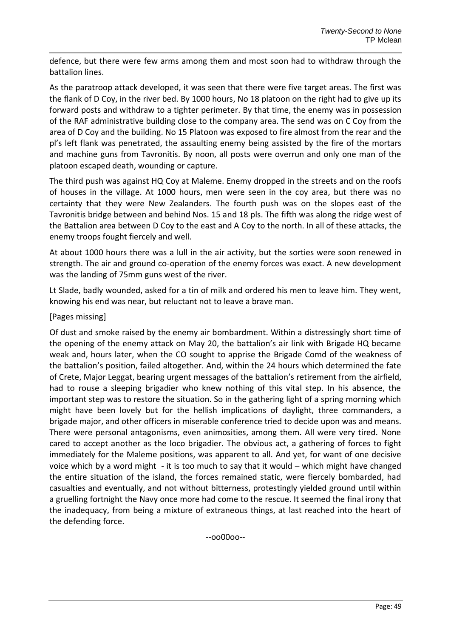defence, but there were few arms among them and most soon had to withdraw through the battalion lines.

As the paratroop attack developed, it was seen that there were five target areas. The first was the flank of D Coy, in the river bed. By 1000 hours, No 18 platoon on the right had to give up its forward posts and withdraw to a tighter perimeter. By that time, the enemy was in possession of the RAF administrative building close to the company area. The send was on C Coy from the area of D Coy and the building. No 15 Platoon was exposed to fire almost from the rear and the pl's left flank was penetrated, the assaulting enemy being assisted by the fire of the mortars and machine guns from Tavronitis. By noon, all posts were overrun and only one man of the platoon escaped death, wounding or capture.

The third push was against HQ Coy at Maleme. Enemy dropped in the streets and on the roofs of houses in the village. At 1000 hours, men were seen in the coy area, but there was no certainty that they were New Zealanders. The fourth push was on the slopes east of the Tavronitis bridge between and behind Nos. 15 and 18 pls. The fifth was along the ridge west of the Battalion area between D Coy to the east and A Coy to the north. In all of these attacks, the enemy troops fought fiercely and well.

At about 1000 hours there was a lull in the air activity, but the sorties were soon renewed in strength. The air and ground co-operation of the enemy forces was exact. A new development was the landing of 75mm guns west of the river.

Lt Slade, badly wounded, asked for a tin of milk and ordered his men to leave him. They went, knowing his end was near, but reluctant not to leave a brave man.

## [Pages missing]

Of dust and smoke raised by the enemy air bombardment. Within a distressingly short time of the opening of the enemy attack on May 20, the battalion's air link with Brigade HQ became weak and, hours later, when the CO sought to apprise the Brigade Comd of the weakness of the battalion's position, failed altogether. And, within the 24 hours which determined the fate of Crete, Major Leggat, bearing urgent messages of the battalion's retirement from the airfield, had to rouse a sleeping brigadier who knew nothing of this vital step. In his absence, the important step was to restore the situation. So in the gathering light of a spring morning which might have been lovely but for the hellish implications of daylight, three commanders, a brigade major, and other officers in miserable conference tried to decide upon was and means. There were personal antagonisms, even animosities, among them. All were very tired. None cared to accept another as the loco brigadier. The obvious act, a gathering of forces to fight immediately for the Maleme positions, was apparent to all. And yet, for want of one decisive voice which by a word might - it is too much to say that it would – which might have changed the entire situation of the island, the forces remained static, were fiercely bombarded, had casualties and eventually, and not without bitterness, protestingly yielded ground until within a gruelling fortnight the Navy once more had come to the rescue. It seemed the final irony that the inadequacy, from being a mixture of extraneous things, at last reached into the heart of the defending force.

--oo00oo--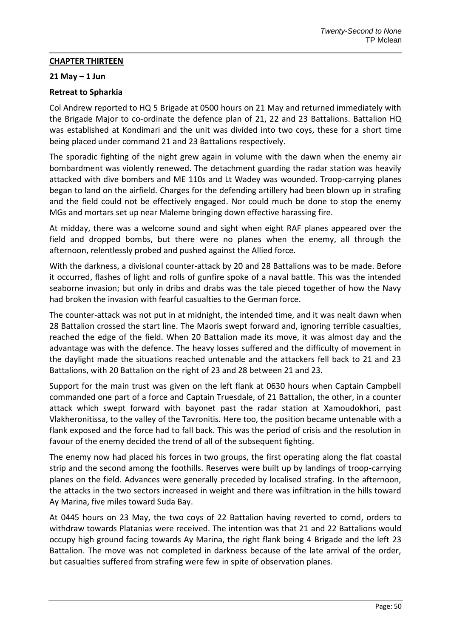## **CHAPTER THIRTEEN**

#### **21 May – 1 Jun**

## **Retreat to Spharkia**

Col Andrew reported to HQ 5 Brigade at 0500 hours on 21 May and returned immediately with the Brigade Major to co-ordinate the defence plan of 21, 22 and 23 Battalions. Battalion HQ was established at Kondimari and the unit was divided into two coys, these for a short time being placed under command 21 and 23 Battalions respectively.

The sporadic fighting of the night grew again in volume with the dawn when the enemy air bombardment was violently renewed. The detachment guarding the radar station was heavily attacked with dive bombers and ME 110s and Lt Wadey was wounded. Troop-carrying planes began to land on the airfield. Charges for the defending artillery had been blown up in strafing and the field could not be effectively engaged. Nor could much be done to stop the enemy MGs and mortars set up near Maleme bringing down effective harassing fire.

At midday, there was a welcome sound and sight when eight RAF planes appeared over the field and dropped bombs, but there were no planes when the enemy, all through the afternoon, relentlessly probed and pushed against the Allied force.

With the darkness, a divisional counter-attack by 20 and 28 Battalions was to be made. Before it occurred, flashes of light and rolls of gunfire spoke of a naval battle. This was the intended seaborne invasion; but only in dribs and drabs was the tale pieced together of how the Navy had broken the invasion with fearful casualties to the German force.

The counter-attack was not put in at midnight, the intended time, and it was nealt dawn when 28 Battalion crossed the start line. The Maoris swept forward and, ignoring terrible casualties, reached the edge of the field. When 20 Battalion made its move, it was almost day and the advantage was with the defence. The heavy losses suffered and the difficulty of movement in the daylight made the situations reached untenable and the attackers fell back to 21 and 23 Battalions, with 20 Battalion on the right of 23 and 28 between 21 and 23.

Support for the main trust was given on the left flank at 0630 hours when Captain Campbell commanded one part of a force and Captain Truesdale, of 21 Battalion, the other, in a counter attack which swept forward with bayonet past the radar station at Xamoudokhori, past Vlakheronitissa, to the valley of the Tavronitis. Here too, the position became untenable with a flank exposed and the force had to fall back. This was the period of crisis and the resolution in favour of the enemy decided the trend of all of the subsequent fighting.

The enemy now had placed his forces in two groups, the first operating along the flat coastal strip and the second among the foothills. Reserves were built up by landings of troop-carrying planes on the field. Advances were generally preceded by localised strafing. In the afternoon, the attacks in the two sectors increased in weight and there was infiltration in the hills toward Ay Marina, five miles toward Suda Bay.

At 0445 hours on 23 May, the two coys of 22 Battalion having reverted to comd, orders to withdraw towards Platanias were received. The intention was that 21 and 22 Battalions would occupy high ground facing towards Ay Marina, the right flank being 4 Brigade and the left 23 Battalion. The move was not completed in darkness because of the late arrival of the order, but casualties suffered from strafing were few in spite of observation planes.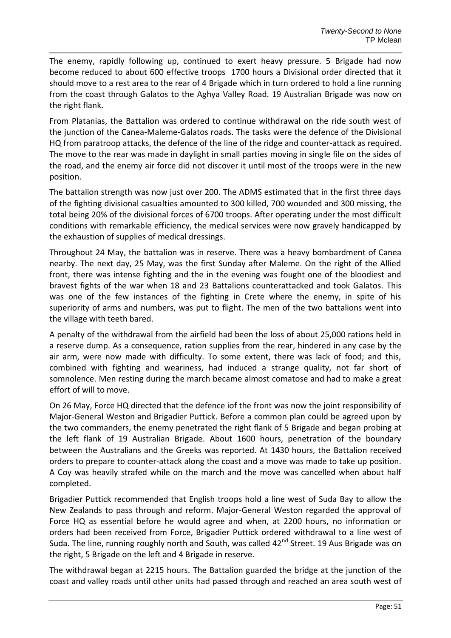The enemy, rapidly following up, continued to exert heavy pressure. 5 Brigade had now become reduced to about 600 effective troops 1700 hours a Divisional order directed that it should move to a rest area to the rear of 4 Brigade which in turn ordered to hold a line running from the coast through Galatos to the Aghya Valley Road. 19 Australian Brigade was now on the right flank.

From Platanias, the Battalion was ordered to continue withdrawal on the ride south west of the junction of the Canea-Maleme-Galatos roads. The tasks were the defence of the Divisional HQ from paratroop attacks, the defence of the line of the ridge and counter-attack as required. The move to the rear was made in daylight in small parties moving in single file on the sides of the road, and the enemy air force did not discover it until most of the troops were in the new position.

The battalion strength was now just over 200. The ADMS estimated that in the first three days of the fighting divisional casualties amounted to 300 killed, 700 wounded and 300 missing, the total being 20% of the divisional forces of 6700 troops. After operating under the most difficult conditions with remarkable efficiency, the medical services were now gravely handicapped by the exhaustion of supplies of medical dressings.

Throughout 24 May, the battalion was in reserve. There was a heavy bombardment of Canea nearby. The next day, 25 May, was the first Sunday after Maleme. On the right of the Allied front, there was intense fighting and the in the evening was fought one of the bloodiest and bravest fights of the war when 18 and 23 Battalions counterattacked and took Galatos. This was one of the few instances of the fighting in Crete where the enemy, in spite of his superiority of arms and numbers, was put to flight. The men of the two battalions went into the village with teeth bared.

A penalty of the withdrawal from the airfield had been the loss of about 25,000 rations held in a reserve dump. As a consequence, ration supplies from the rear, hindered in any case by the air arm, were now made with difficulty. To some extent, there was lack of food; and this, combined with fighting and weariness, had induced a strange quality, not far short of somnolence. Men resting during the march became almost comatose and had to make a great effort of will to move.

On 26 May, Force HQ directed that the defence iof the front was now the joint responsibility of Major-General Weston and Brigadier Puttick. Before a common plan could be agreed upon by the two commanders, the enemy penetrated the right flank of 5 Brigade and began probing at the left flank of 19 Australian Brigade. About 1600 hours, penetration of the boundary between the Australians and the Greeks was reported. At 1430 hours, the Battalion received orders to prepare to counter-attack along the coast and a move was made to take up position. A Coy was heavily strafed while on the march and the move was cancelled when about half completed.

Brigadier Puttick recommended that English troops hold a line west of Suda Bay to allow the New Zealands to pass through and reform. Major-General Weston regarded the approval of Force HQ as essential before he would agree and when, at 2200 hours, no information or orders had been received from Force, Brigadier Puttick ordered withdrawal to a line west of Suda. The line, running roughly north and South, was called 42<sup>nd</sup> Street. 19 Aus Brigade was on the right, 5 Brigade on the left and 4 Brigade in reserve.

The withdrawal began at 2215 hours. The Battalion guarded the bridge at the junction of the coast and valley roads until other units had passed through and reached an area south west of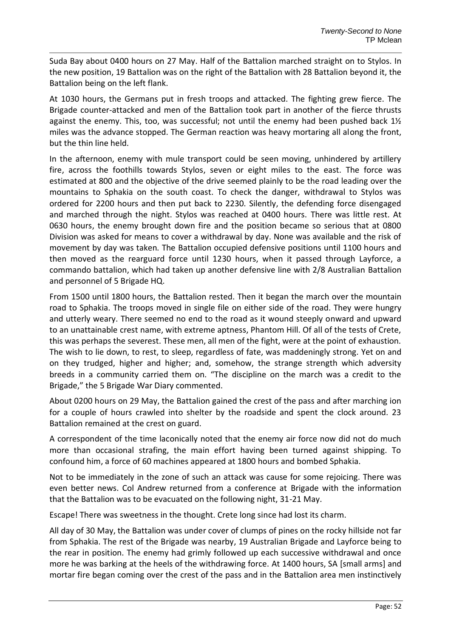Suda Bay about 0400 hours on 27 May. Half of the Battalion marched straight on to Stylos. In the new position, 19 Battalion was on the right of the Battalion with 28 Battalion beyond it, the Battalion being on the left flank.

At 1030 hours, the Germans put in fresh troops and attacked. The fighting grew fierce. The Brigade counter-attacked and men of the Battalion took part in another of the fierce thrusts against the enemy. This, too, was successful; not until the enemy had been pushed back 1½ miles was the advance stopped. The German reaction was heavy mortaring all along the front, but the thin line held.

In the afternoon, enemy with mule transport could be seen moving, unhindered by artillery fire, across the foothills towards Stylos, seven or eight miles to the east. The force was estimated at 800 and the objective of the drive seemed plainly to be the road leading over the mountains to Sphakia on the south coast. To check the danger, withdrawal to Stylos was ordered for 2200 hours and then put back to 2230. Silently, the defending force disengaged and marched through the night. Stylos was reached at 0400 hours. There was little rest. At 0630 hours, the enemy brought down fire and the position became so serious that at 0800 Division was asked for means to cover a withdrawal by day. None was available and the risk of movement by day was taken. The Battalion occupied defensive positions until 1100 hours and then moved as the rearguard force until 1230 hours, when it passed through Layforce, a commando battalion, which had taken up another defensive line with 2/8 Australian Battalion and personnel of 5 Brigade HQ.

From 1500 until 1800 hours, the Battalion rested. Then it began the march over the mountain road to Sphakia. The troops moved in single file on either side of the road. They were hungry and utterly weary. There seemed no end to the road as it wound steeply onward and upward to an unattainable crest name, with extreme aptness, Phantom Hill. Of all of the tests of Crete, this was perhaps the severest. These men, all men of the fight, were at the point of exhaustion. The wish to lie down, to rest, to sleep, regardless of fate, was maddeningly strong. Yet on and on they trudged, higher and higher; and, somehow, the strange strength which adversity breeds in a community carried them on. "The discipline on the march was a credit to the Brigade," the 5 Brigade War Diary commented.

About 0200 hours on 29 May, the Battalion gained the crest of the pass and after marching ion for a couple of hours crawled into shelter by the roadside and spent the clock around. 23 Battalion remained at the crest on guard.

A correspondent of the time laconically noted that the enemy air force now did not do much more than occasional strafing, the main effort having been turned against shipping. To confound him, a force of 60 machines appeared at 1800 hours and bombed Sphakia.

Not to be immediately in the zone of such an attack was cause for some rejoicing. There was even better news. Col Andrew returned from a conference at Brigade with the information that the Battalion was to be evacuated on the following night, 31-21 May.

Escape! There was sweetness in the thought. Crete long since had lost its charm.

All day of 30 May, the Battalion was under cover of clumps of pines on the rocky hillside not far from Sphakia. The rest of the Brigade was nearby, 19 Australian Brigade and Layforce being to the rear in position. The enemy had grimly followed up each successive withdrawal and once more he was barking at the heels of the withdrawing force. At 1400 hours, SA [small arms] and mortar fire began coming over the crest of the pass and in the Battalion area men instinctively